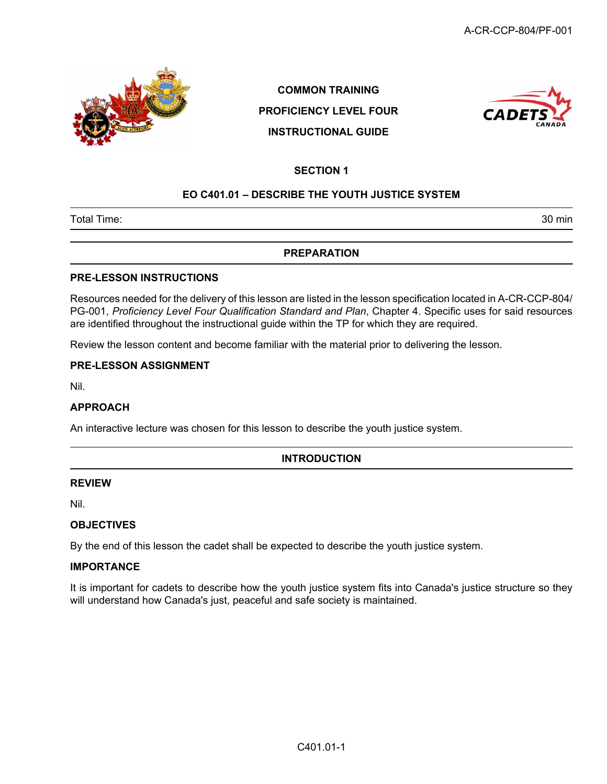

COMMON TRAINING PROFICIENCY LEVEL FOUR INSTRUCTIONAL GUIDE



# SECTION 1

## EO C401.01 – DESCRIBE THE YOUTH JUSTICE SYSTEM

Total Time: 30 min

## PREPARATION

#### PRE-LESSON INSTRUCTIONS

Resources needed for the delivery of this lesson are listed in the lesson specification located in A-CR-CCP-804/ PG-001, Proficiency Level Four Qualification Standard and Plan, Chapter 4. Specific uses for said resources are identified throughout the instructional guide within the TP for which they are required.

Review the lesson content and become familiar with the material prior to delivering the lesson.

#### PRE-LESSON ASSIGNMENT

Nil.

## APPROACH

An interactive lecture was chosen for this lesson to describe the youth justice system.

# INTRODUCTION

#### REVIEW

Nil.

## **OBJECTIVES**

By the end of this lesson the cadet shall be expected to describe the youth justice system.

# IMPORTANCE

It is important for cadets to describe how the youth justice system fits into Canada's justice structure so they will understand how Canada's just, peaceful and safe society is maintained.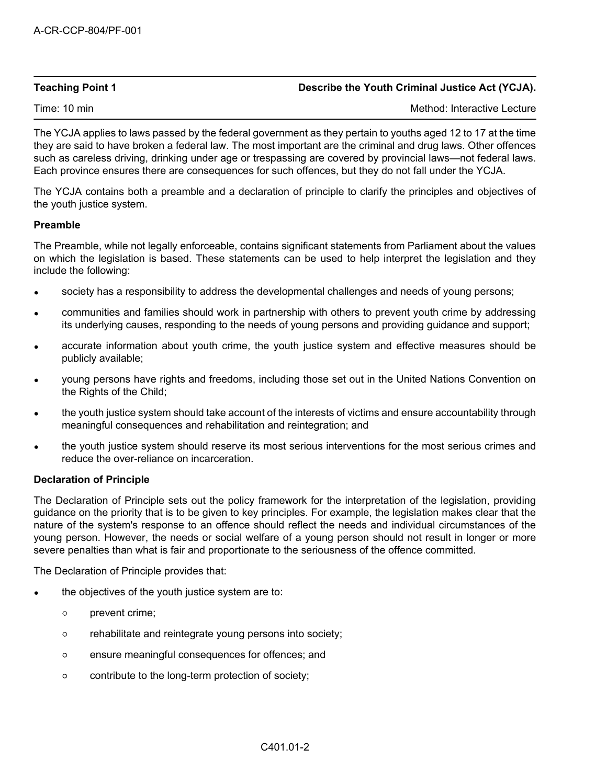# Teaching Point 1 Describe the Youth Criminal Justice Act (YCJA).

Time: 10 min Method: Interactive Lecture Communication of the Method: Interactive Lecture

The YCJA applies to laws passed by the federal government as they pertain to youths aged 12 to 17 at the time they are said to have broken a federal law. The most important are the criminal and drug laws. Other offences such as careless driving, drinking under age or trespassing are covered by provincial laws—not federal laws. Each province ensures there are consequences for such offences, but they do not fall under the YCJA.

The YCJA contains both a preamble and a declaration of principle to clarify the principles and objectives of the youth justice system.

#### Preamble

The Preamble, while not legally enforceable, contains significant statements from Parliament about the values on which the legislation is based. These statements can be used to help interpret the legislation and they include the following:

- society has a responsibility to address the developmental challenges and needs of young persons;
- communities and families should work in partnership with others to prevent youth crime by addressing its underlying causes, responding to the needs of young persons and providing guidance and support;
- accurate information about youth crime, the youth justice system and effective measures should be publicly available;
- young persons have rights and freedoms, including those set out in the United Nations Convention on the Rights of the Child;
- the youth justice system should take account of the interests of victims and ensure accountability through meaningful consequences and rehabilitation and reintegration; and
- the youth justice system should reserve its most serious interventions for the most serious crimes and reduce the over-reliance on incarceration.

## Declaration of Principle

The Declaration of Principle sets out the policy framework for the interpretation of the legislation, providing guidance on the priority that is to be given to key principles. For example, the legislation makes clear that the nature of the system's response to an offence should reflect the needs and individual circumstances of the young person. However, the needs or social welfare of a young person should not result in longer or more severe penalties than what is fair and proportionate to the seriousness of the offence committed.

The Declaration of Principle provides that:

- the objectives of the youth justice system are to:
	- prevent crime;  $\Omega$
	- rehabilitate and reintegrate young persons into society;  $\Omega$
	- $\circ$ ensure meaningful consequences for offences; and
	- $\circ$ contribute to the long-term protection of society;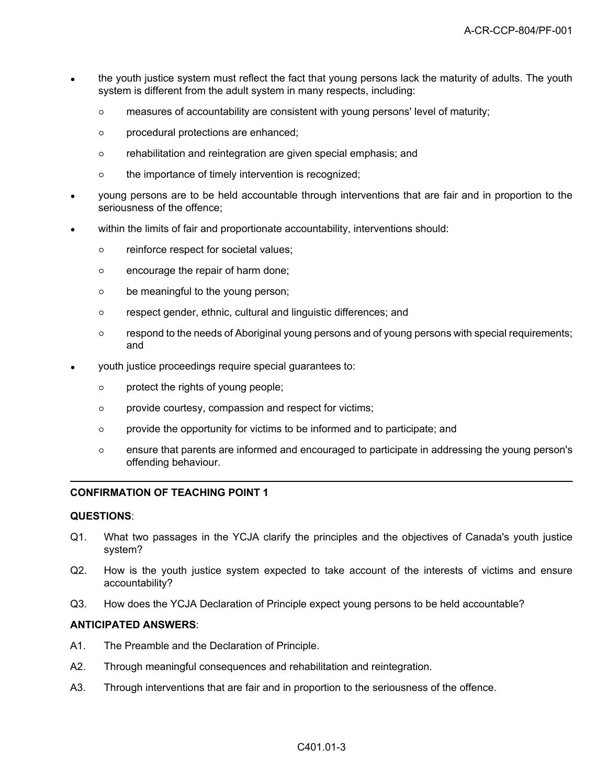- the youth justice system must reflect the fact that young persons lack the maturity of adults. The youth system is different from the adult system in many respects, including:
	- measures of accountability are consistent with young persons' level of maturity;  $\circ$
	- procedural protections are enhanced;  $\circ$
	- rehabilitation and reintegration are given special emphasis; and  $\circ$
	- $\circ$ the importance of timely intervention is recognized;
- young persons are to be held accountable through interventions that are fair and in proportion to the seriousness of the offence;
- within the limits of fair and proportionate accountability, interventions should:
	- $\circ$ reinforce respect for societal values;
	- encourage the repair of harm done;  $\circ$
	- be meaningful to the young person;  $\circ$
	- $\circ$ respect gender, ethnic, cultural and linguistic differences; and
	- $\circ$ respond to the needs of Aboriginal young persons and of young persons with special requirements; and
- youth justice proceedings require special guarantees to:
	- protect the rights of young people;  $\circ$
	- $\circ$ provide courtesy, compassion and respect for victims;
	- $\circ$ provide the opportunity for victims to be informed and to participate; and
	- ensure that parents are informed and encouraged to participate in addressing the young person's  $\circ$ offending behaviour.

## CONFIRMATION OF TEACHING POINT 1

#### QUESTIONS:

- Q1. What two passages in the YCJA clarify the principles and the objectives of Canada's youth justice system?
- Q2. How is the youth justice system expected to take account of the interests of victims and ensure accountability?
- Q3. How does the YCJA Declaration of Principle expect young persons to be held accountable?

#### ANTICIPATED ANSWERS:

- A1. The Preamble and the Declaration of Principle.
- A2. Through meaningful consequences and rehabilitation and reintegration.
- A3. Through interventions that are fair and in proportion to the seriousness of the offence.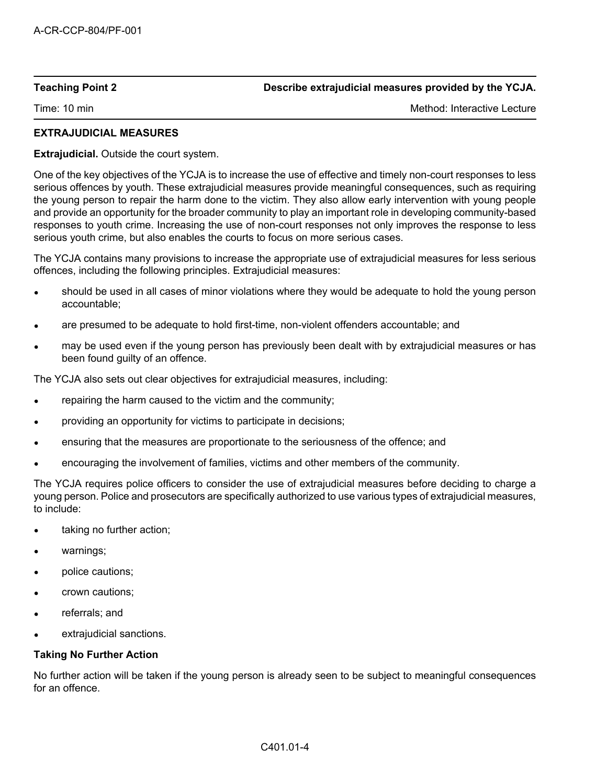Teaching Point 2 Describe extrajudicial measures provided by the YCJA.

Time: 10 min Method: Interactive Lecture Communication of the Method: Interactive Lecture

### EXTRAJUDICIAL MEASURES

Extrajudicial. Outside the court system.

One of the key objectives of the YCJA is to increase the use of effective and timely non-court responses to less serious offences by youth. These extrajudicial measures provide meaningful consequences, such as requiring the young person to repair the harm done to the victim. They also allow early intervention with young people and provide an opportunity for the broader community to play an important role in developing community-based responses to youth crime. Increasing the use of non-court responses not only improves the response to less serious youth crime, but also enables the courts to focus on more serious cases.

The YCJA contains many provisions to increase the appropriate use of extrajudicial measures for less serious offences, including the following principles. Extrajudicial measures:

- should be used in all cases of minor violations where they would be adequate to hold the young person accountable;
- are presumed to be adequate to hold first-time, non-violent offenders accountable; and
- may be used even if the young person has previously been dealt with by extrajudicial measures or has been found guilty of an offence.

The YCJA also sets out clear objectives for extrajudicial measures, including:

- repairing the harm caused to the victim and the community;  $\bullet$
- providing an opportunity for victims to participate in decisions;  $\bullet$
- ensuring that the measures are proportionate to the seriousness of the offence; and
- encouraging the involvement of families, victims and other members of the community.

The YCJA requires police officers to consider the use of extrajudicial measures before deciding to charge a young person. Police and prosecutors are specifically authorized to use various types of extrajudicial measures, to include:

- taking no further action;
- warnings;
- police cautions;
- crown cautions;
- referrals; and
- extrajudicial sanctions.

#### Taking No Further Action

No further action will be taken if the young person is already seen to be subject to meaningful consequences for an offence.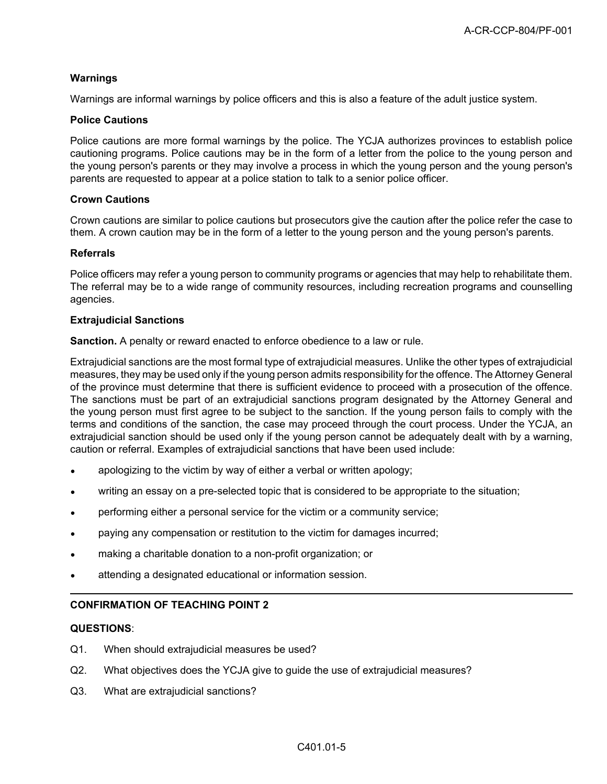## **Warnings**

Warnings are informal warnings by police officers and this is also a feature of the adult justice system.

#### Police Cautions

Police cautions are more formal warnings by the police. The YCJA authorizes provinces to establish police cautioning programs. Police cautions may be in the form of a letter from the police to the young person and the young person's parents or they may involve a process in which the young person and the young person's parents are requested to appear at a police station to talk to a senior police officer.

#### Crown Cautions

Crown cautions are similar to police cautions but prosecutors give the caution after the police refer the case to them. A crown caution may be in the form of a letter to the young person and the young person's parents.

#### Referrals

Police officers may refer a young person to community programs or agencies that may help to rehabilitate them. The referral may be to a wide range of community resources, including recreation programs and counselling agencies.

#### Extrajudicial Sanctions

Sanction. A penalty or reward enacted to enforce obedience to a law or rule.

Extrajudicial sanctions are the most formal type of extrajudicial measures. Unlike the other types of extrajudicial measures, they may be used only if the young person admits responsibility for the offence. The Attorney General of the province must determine that there is sufficient evidence to proceed with a prosecution of the offence. The sanctions must be part of an extrajudicial sanctions program designated by the Attorney General and the young person must first agree to be subject to the sanction. If the young person fails to comply with the terms and conditions of the sanction, the case may proceed through the court process. Under the YCJA, an extrajudicial sanction should be used only if the young person cannot be adequately dealt with by a warning, caution or referral. Examples of extrajudicial sanctions that have been used include:

- apologizing to the victim by way of either a verbal or written apology;
- writing an essay on a pre-selected topic that is considered to be appropriate to the situation;
- performing either a personal service for the victim or a community service;
- paying any compensation or restitution to the victim for damages incurred;
- making a charitable donation to a non-profit organization; or
- attending a designated educational or information session.

## CONFIRMATION OF TEACHING POINT 2

#### QUESTIONS:

- Q1. When should extrajudicial measures be used?
- Q2. What objectives does the YCJA give to guide the use of extrajudicial measures?
- Q3. What are extrajudicial sanctions?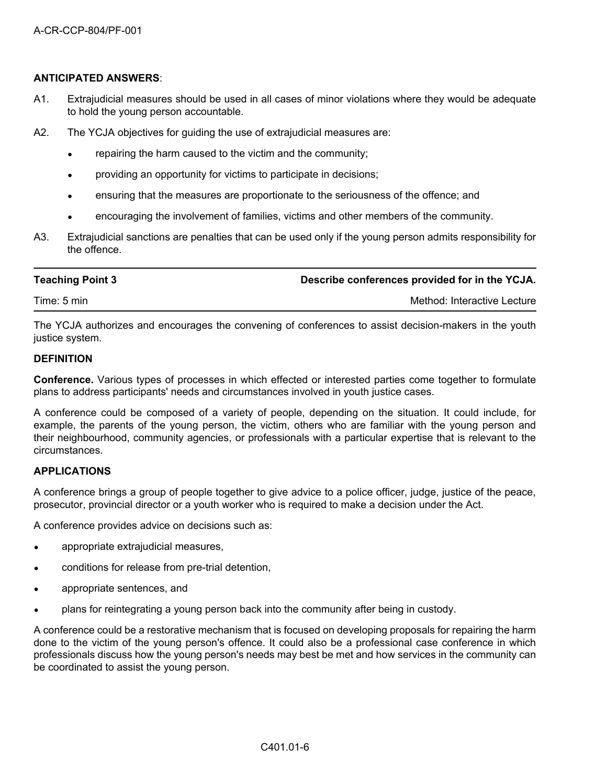## ANTICIPATED ANSWERS:

- A1. Extrajudicial measures should be used in all cases of minor violations where they would be adequate to hold the young person accountable.
- A2. The YCJA objectives for guiding the use of extrajudicial measures are:
	- repairing the harm caused to the victim and the community;
	- providing an opportunity for victims to participate in decisions;
	- ensuring that the measures are proportionate to the seriousness of the offence; and
	- encouraging the involvement of families, victims and other members of the community.
- A3. Extrajudicial sanctions are penalties that can be used only if the young person admits responsibility for the offence.

#### Teaching Point 3 Describe conferences provided for in the YCJA.

Time: 5 min Method: Interactive Lecture Company of Time: 5 min Method: Interactive Lecture

The YCJA authorizes and encourages the convening of conferences to assist decision-makers in the youth justice system.

#### **DEFINITION**

Conference. Various types of processes in which effected or interested parties come together to formulate plans to address participants' needs and circumstances involved in youth justice cases.

A conference could be composed of a variety of people, depending on the situation. It could include, for example, the parents of the young person, the victim, others who are familiar with the young person and their neighbourhood, community agencies, or professionals with a particular expertise that is relevant to the circumstances.

## APPLICATIONS

A conference brings a group of people together to give advice to a police officer, judge, justice of the peace, prosecutor, provincial director or a youth worker who is required to make a decision under the Act.

A conference provides advice on decisions such as:

- appropriate extrajudicial measures,  $\bullet$
- conditions for release from pre-trial detention,
- appropriate sentences, and
- plans for reintegrating a young person back into the community after being in custody.

A conference could be a restorative mechanism that is focused on developing proposals for repairing the harm done to the victim of the young person's offence. It could also be a professional case conference in which professionals discuss how the young person's needs may best be met and how services in the community can be coordinated to assist the young person.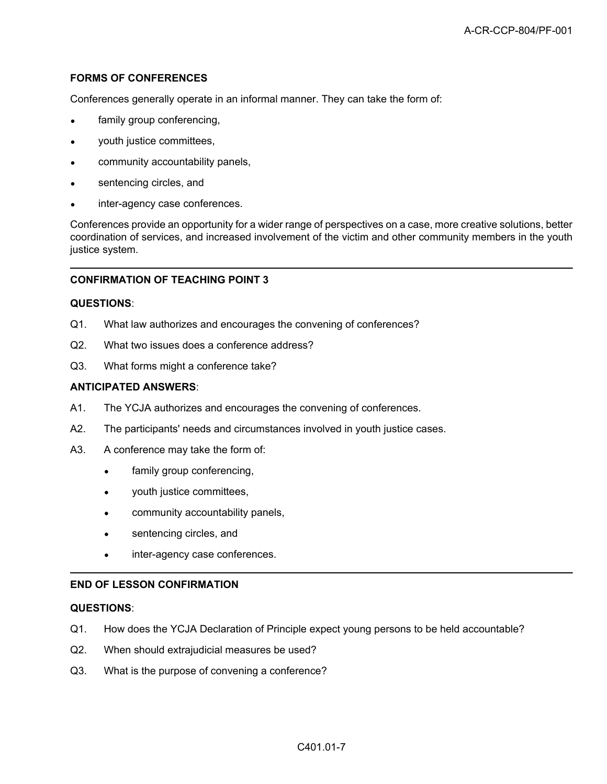# FORMS OF CONFERENCES

Conferences generally operate in an informal manner. They can take the form of:

- family group conferencing,
- youth justice committees,
- community accountability panels,
- sentencing circles, and
- inter-agency case conferences.

Conferences provide an opportunity for a wider range of perspectives on a case, more creative solutions, better coordination of services, and increased involvement of the victim and other community members in the youth justice system.

#### CONFIRMATION OF TEACHING POINT 3

#### QUESTIONS:

- Q1. What law authorizes and encourages the convening of conferences?
- Q2. What two issues does a conference address?
- Q3. What forms might a conference take?

#### ANTICIPATED ANSWERS:

- A1. The YCJA authorizes and encourages the convening of conferences.
- A2. The participants' needs and circumstances involved in youth justice cases.
- A3. A conference may take the form of:
	- family group conferencing,  $\bullet$
	- youth justice committees,  $\bullet$
	- community accountability panels,  $\bullet$
	- sentencing circles, and  $\bullet$
	- inter-agency case conferences.  $\bullet$

#### END OF LESSON CONFIRMATION

#### QUESTIONS:

- Q1. How does the YCJA Declaration of Principle expect young persons to be held accountable?
- Q2. When should extrajudicial measures be used?
- Q3. What is the purpose of convening a conference?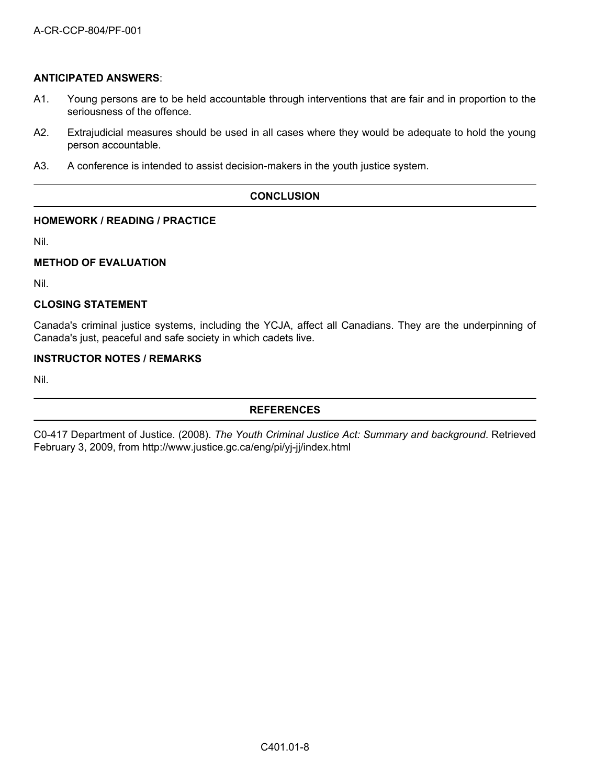## ANTICIPATED ANSWERS:

- A1. Young persons are to be held accountable through interventions that are fair and in proportion to the seriousness of the offence.
- A2. Extrajudicial measures should be used in all cases where they would be adequate to hold the young person accountable.
- A3. A conference is intended to assist decision-makers in the youth justice system.

## **CONCLUSION**

#### HOMEWORK / READING / PRACTICE

Nil.

METHOD OF EVALUATION

Nil.

#### CLOSING STATEMENT

Canada's criminal justice systems, including the YCJA, affect all Canadians. They are the underpinning of Canada's just, peaceful and safe society in which cadets live.

# INSTRUCTOR NOTES / REMARKS

Nil.

## **REFERENCES**

C0-417 Department of Justice. (2008). The Youth Criminal Justice Act: Summary and background. Retrieved February 3, 2009, from http://www.justice.gc.ca/eng/pi/yj-jj/index.html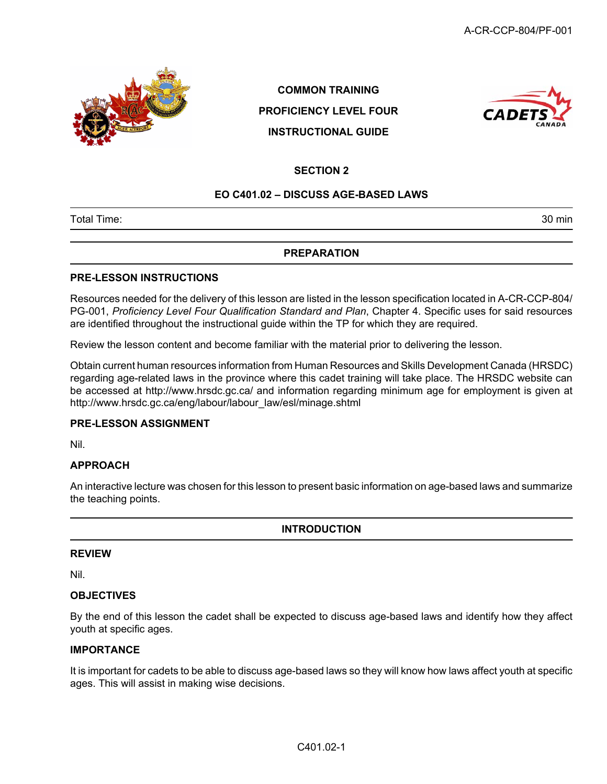

COMMON TRAINING PROFICIENCY LEVEL FOUR INSTRUCTIONAL GUIDE



# SECTION 2

#### EO C401.02 – DISCUSS AGE-BASED LAWS

Total Time: 30 min

## PREPARATION

#### PRE-LESSON INSTRUCTIONS

Resources needed for the delivery of this lesson are listed in the lesson specification located in A-CR-CCP-804/ PG-001, Proficiency Level Four Qualification Standard and Plan, Chapter 4. Specific uses for said resources are identified throughout the instructional guide within the TP for which they are required.

Review the lesson content and become familiar with the material prior to delivering the lesson.

Obtain current human resources information from Human Resources and Skills Development Canada (HRSDC) regarding age-related laws in the province where this cadet training will take place. The HRSDC website can be accessed at http://www.hrsdc.gc.ca/ and information regarding minimum age for employment is given at http://www.hrsdc.gc.ca/eng/labour/labour\_law/esl/minage.shtml

## PRE-LESSON ASSIGNMENT

Nil.

## APPROACH

An interactive lecture was chosen for this lesson to present basic information on age-based laws and summarize the teaching points.

## INTRODUCTION

#### REVIEW

Nil.

#### **OBJECTIVES**

By the end of this lesson the cadet shall be expected to discuss age-based laws and identify how they affect youth at specific ages.

#### **IMPORTANCE**

It is important for cadets to be able to discuss age-based laws so they will know how laws affect youth at specific ages. This will assist in making wise decisions.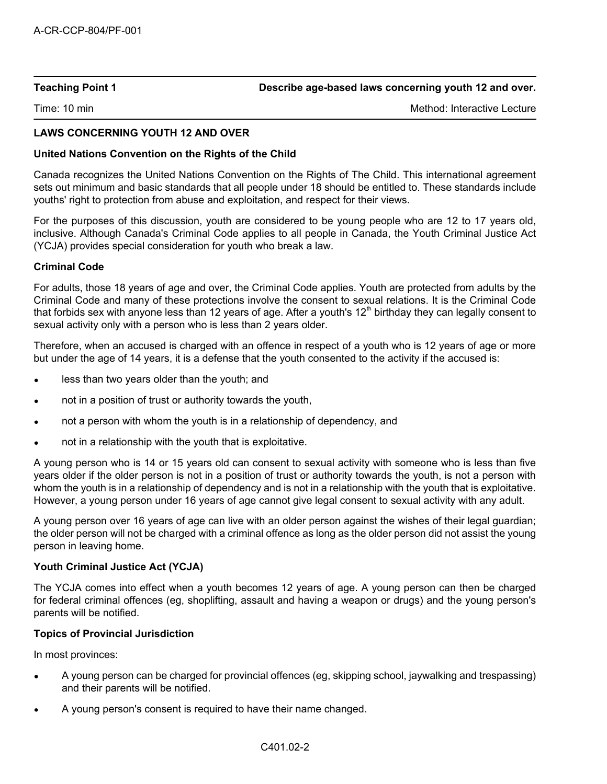Teaching Point 1 Describe age-based laws concerning youth 12 and over.

Time: 10 min Method: Interactive Lecture Companies And Method: Interactive Lecture

# LAWS CONCERNING YOUTH 12 AND OVER

### United Nations Convention on the Rights of the Child

Canada recognizes the United Nations Convention on the Rights of The Child. This international agreement sets out minimum and basic standards that all people under 18 should be entitled to. These standards include youths' right to protection from abuse and exploitation, and respect for their views.

For the purposes of this discussion, youth are considered to be young people who are 12 to 17 years old, inclusive. Although Canada's Criminal Code applies to all people in Canada, the Youth Criminal Justice Act (YCJA) provides special consideration for youth who break a law.

#### Criminal Code

For adults, those 18 years of age and over, the Criminal Code applies. Youth are protected from adults by the Criminal Code and many of these protections involve the consent to sexual relations. It is the Criminal Code that forbids sex with anyone less than 12 years of age. After a youth's 12<sup>th</sup> birthday they can legally consent to sexual activity only with a person who is less than 2 years older.

Therefore, when an accused is charged with an offence in respect of a youth who is 12 years of age or more but under the age of 14 years, it is a defense that the youth consented to the activity if the accused is:

- less than two years older than the youth; and  $\bullet$
- not in a position of trust or authority towards the youth,
- not a person with whom the youth is in a relationship of dependency, and
- not in a relationship with the youth that is exploitative.

A young person who is 14 or 15 years old can consent to sexual activity with someone who is less than five years older if the older person is not in a position of trust or authority towards the youth, is not a person with whom the youth is in a relationship of dependency and is not in a relationship with the youth that is exploitative. However, a young person under 16 years of age cannot give legal consent to sexual activity with any adult.

A young person over 16 years of age can live with an older person against the wishes of their legal guardian; the older person will not be charged with a criminal offence as long as the older person did not assist the young person in leaving home.

#### Youth Criminal Justice Act (YCJA)

The YCJA comes into effect when a youth becomes 12 years of age. A young person can then be charged for federal criminal offences (eg, shoplifting, assault and having a weapon or drugs) and the young person's parents will be notified.

#### Topics of Provincial Jurisdiction

In most provinces:

- A young person can be charged for provincial offences (eg, skipping school, jaywalking and trespassing) and their parents will be notified.
- A young person's consent is required to have their name changed.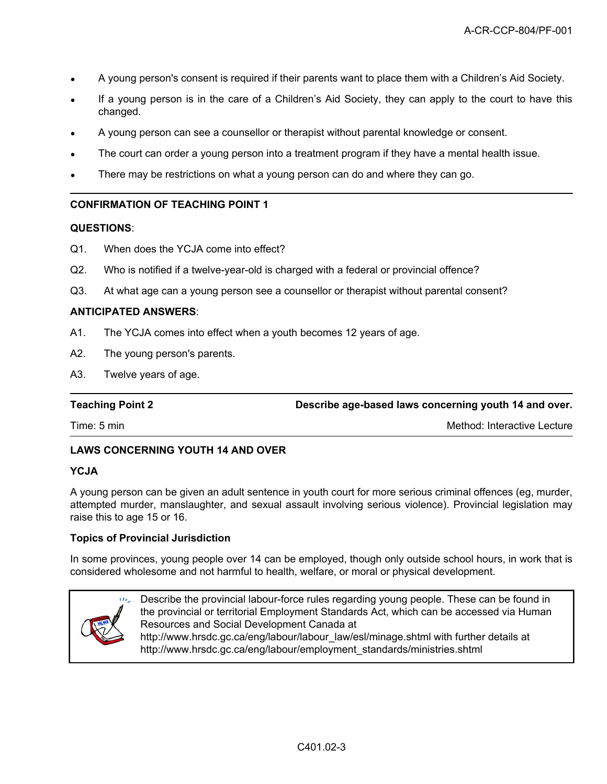- A young person's consent is required if their parents want to place them with a Children's Aid Society.
- If a young person is in the care of a Children's Aid Society, they can apply to the court to have this changed.
- A young person can see a counsellor or therapist without parental knowledge or consent.
- The court can order a young person into a treatment program if they have a mental health issue.
- There may be restrictions on what a young person can do and where they can go.

#### CONFIRMATION OF TEACHING POINT 1

#### QUESTIONS:

- Q1. When does the YCJA come into effect?
- Q2. Who is notified if a twelve-year-old is charged with a federal or provincial offence?
- Q3. At what age can a young person see a counsellor or therapist without parental consent?

#### ANTICIPATED ANSWERS:

- A1. The YCJA comes into effect when a youth becomes 12 years of age.
- A2. The young person's parents.
- A3. Twelve years of age.

Teaching Point 2 Describe age-based laws concerning youth 14 and over.

Time: 5 min Method: Interactive Lecture Company of Time: 5 min Method: Interactive Lecture

#### LAWS CONCERNING YOUTH 14 AND OVER

#### YCJA

A young person can be given an adult sentence in youth court for more serious criminal offences (eg, murder, attempted murder, manslaughter, and sexual assault involving serious violence). Provincial legislation may raise this to age 15 or 16.

#### Topics of Provincial Jurisdiction

In some provinces, young people over 14 can be employed, though only outside school hours, in work that is considered wholesome and not harmful to health, welfare, or moral or physical development.



Describe the provincial labour-force rules regarding young people. These can be found in the provincial or territorial Employment Standards Act, which can be accessed via Human Resources and Social Development Canada at http://www.hrsdc.gc.ca/eng/labour/labour\_law/esl/minage.shtml with further details at http://www.hrsdc.gc.ca/eng/labour/employment\_standards/ministries.shtml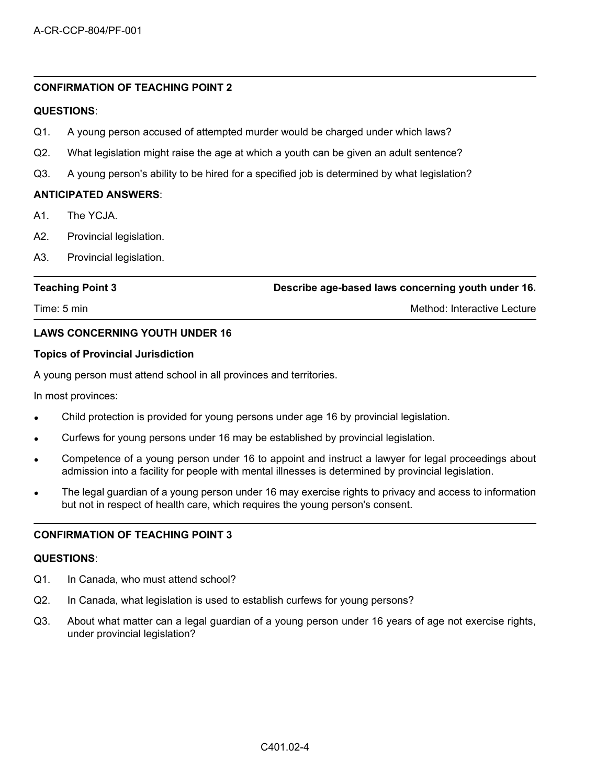## CONFIRMATION OF TEACHING POINT 2

## QUESTIONS:

- Q1. A young person accused of attempted murder would be charged under which laws?
- Q2. What legislation might raise the age at which a youth can be given an adult sentence?
- Q3. A young person's ability to be hired for a specified job is determined by what legislation?

# ANTICIPATED ANSWERS:

- A1. The YCJA.
- A2. Provincial legislation.
- A3. Provincial legislation.

Teaching Point 3 Describe age-based laws concerning youth under 16.

Time: 5 min Method: Interactive Lecture Companies and Method: Interactive Lecture

## LAWS CONCERNING YOUTH UNDER 16

#### Topics of Provincial Jurisdiction

A young person must attend school in all provinces and territories.

In most provinces:

- Child protection is provided for young persons under age 16 by provincial legislation.
- Curfews for young persons under 16 may be established by provincial legislation.
- Competence of a young person under 16 to appoint and instruct a lawyer for legal proceedings about admission into a facility for people with mental illnesses is determined by provincial legislation.
- The legal guardian of a young person under 16 may exercise rights to privacy and access to information but not in respect of health care, which requires the young person's consent.

# CONFIRMATION OF TEACHING POINT 3

## QUESTIONS:

- Q1. In Canada, who must attend school?
- Q2. In Canada, what legislation is used to establish curfews for young persons?
- Q3. About what matter can a legal guardian of a young person under 16 years of age not exercise rights, under provincial legislation?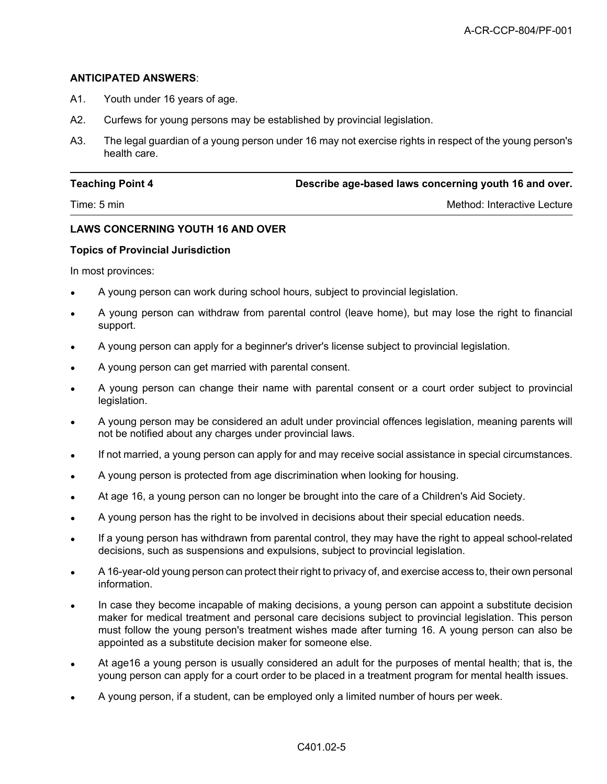#### ANTICIPATED ANSWERS:

- A1. Youth under 16 years of age.
- A2. Curfews for young persons may be established by provincial legislation.
- A3. The legal guardian of a young person under 16 may not exercise rights in respect of the young person's health care.

| <b>Teaching Point 4</b> | Describe age-based laws concerning youth 16 and over. |
|-------------------------|-------------------------------------------------------|

Time: 5 min Method: Interactive Lecture

#### LAWS CONCERNING YOUTH 16 AND OVER

#### Topics of Provincial Jurisdiction

In most provinces:

- A young person can work during school hours, subject to provincial legislation.
- A young person can withdraw from parental control (leave home), but may lose the right to financial support.
- A young person can apply for a beginner's driver's license subject to provincial legislation.
- A young person can get married with parental consent.
- A young person can change their name with parental consent or a court order subject to provincial legislation.
- A young person may be considered an adult under provincial offences legislation, meaning parents will not be notified about any charges under provincial laws.
- If not married, a young person can apply for and may receive social assistance in special circumstances.
- A young person is protected from age discrimination when looking for housing.
- At age 16, a young person can no longer be brought into the care of a Children's Aid Society.
- A young person has the right to be involved in decisions about their special education needs.
- If a young person has withdrawn from parental control, they may have the right to appeal school-related decisions, such as suspensions and expulsions, subject to provincial legislation.
- A 16-year-old young person can protect their right to privacy of, and exercise access to, their own personal information.
- In case they become incapable of making decisions, a young person can appoint a substitute decision maker for medical treatment and personal care decisions subject to provincial legislation. This person must follow the young person's treatment wishes made after turning 16. A young person can also be appointed as a substitute decision maker for someone else.
- At age16 a young person is usually considered an adult for the purposes of mental health; that is, the young person can apply for a court order to be placed in a treatment program for mental health issues.
- A young person, if a student, can be employed only a limited number of hours per week.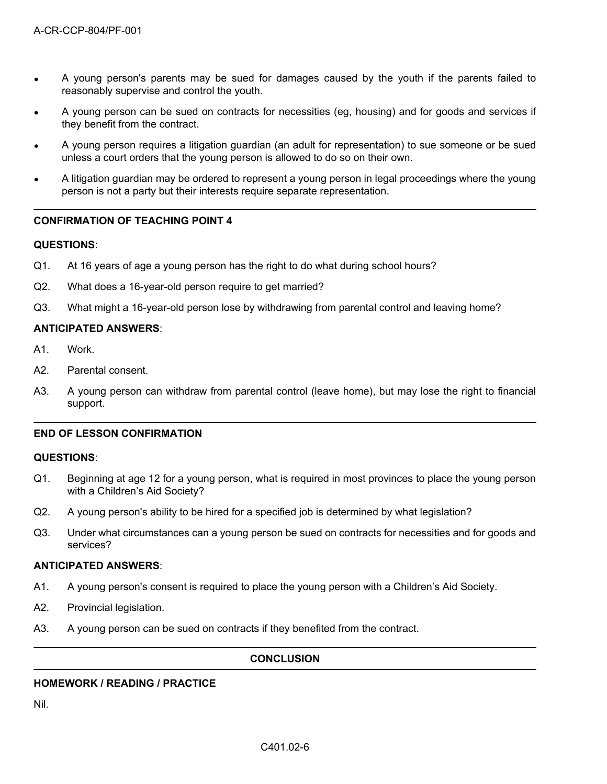- A young person's parents may be sued for damages caused by the youth if the parents failed to  $\bullet$ reasonably supervise and control the youth.
- A young person can be sued on contracts for necessities (eg, housing) and for goods and services if they benefit from the contract.
- A young person requires a litigation guardian (an adult for representation) to sue someone or be sued unless a court orders that the young person is allowed to do so on their own.
- A litigation guardian may be ordered to represent a young person in legal proceedings where the young person is not a party but their interests require separate representation.

#### CONFIRMATION OF TEACHING POINT 4

#### QUESTIONS:

- Q1. At 16 years of age a young person has the right to do what during school hours?
- Q2. What does a 16-year-old person require to get married?
- Q3. What might a 16-year-old person lose by withdrawing from parental control and leaving home?

#### ANTICIPATED ANSWERS:

- A1. Work.
- A2. Parental consent.
- A3. A young person can withdraw from parental control (leave home), but may lose the right to financial support.

#### END OF LESSON CONFIRMATION

#### QUESTIONS:

- Q1. Beginning at age 12 for a young person, what is required in most provinces to place the young person with a Children's Aid Society?
- Q2. A young person's ability to be hired for a specified job is determined by what legislation?
- Q3. Under what circumstances can a young person be sued on contracts for necessities and for goods and services?

#### ANTICIPATED ANSWERS:

- A1. A young person's consent is required to place the young person with a Children's Aid Society.
- A2. Provincial legislation.
- A3. A young person can be sued on contracts if they benefited from the contract.

#### **CONCLUSION**

## HOMEWORK / READING / PRACTICE

Nil.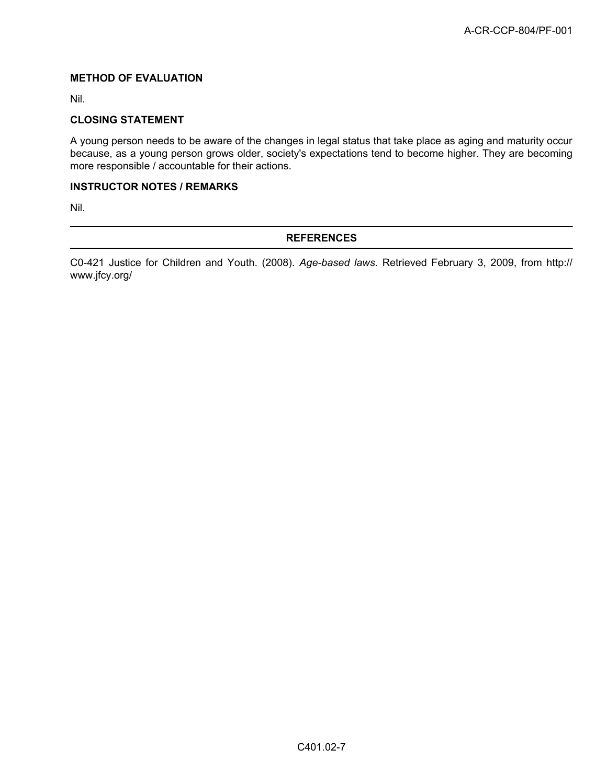# METHOD OF EVALUATION

Nil.

## CLOSING STATEMENT

A young person needs to be aware of the changes in legal status that take place as aging and maturity occur because, as a young person grows older, society's expectations tend to become higher. They are becoming more responsible / accountable for their actions.

# INSTRUCTOR NOTES / REMARKS

Nil.

## **REFERENCES**

C0-421 Justice for Children and Youth. (2008). Age-based laws. Retrieved February 3, 2009, from http:// www.jfcy.org/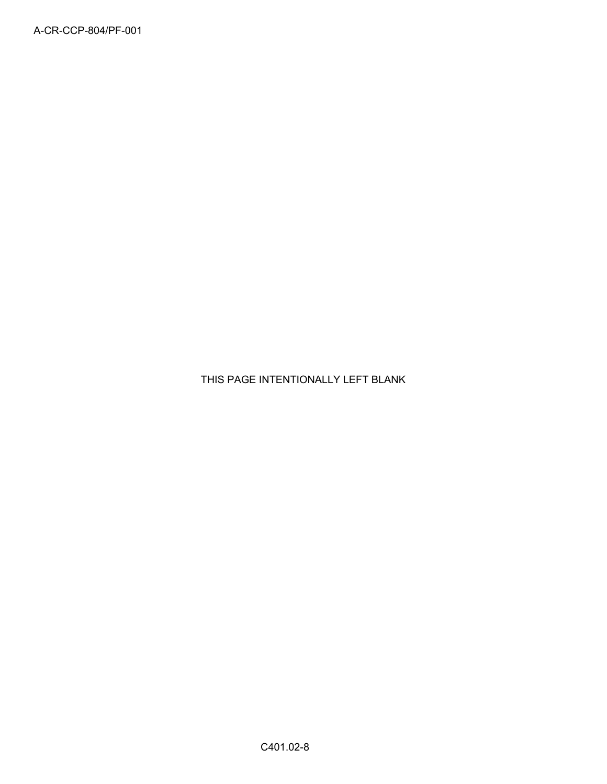THIS PAGE INTENTIONALLY LEFT BLANK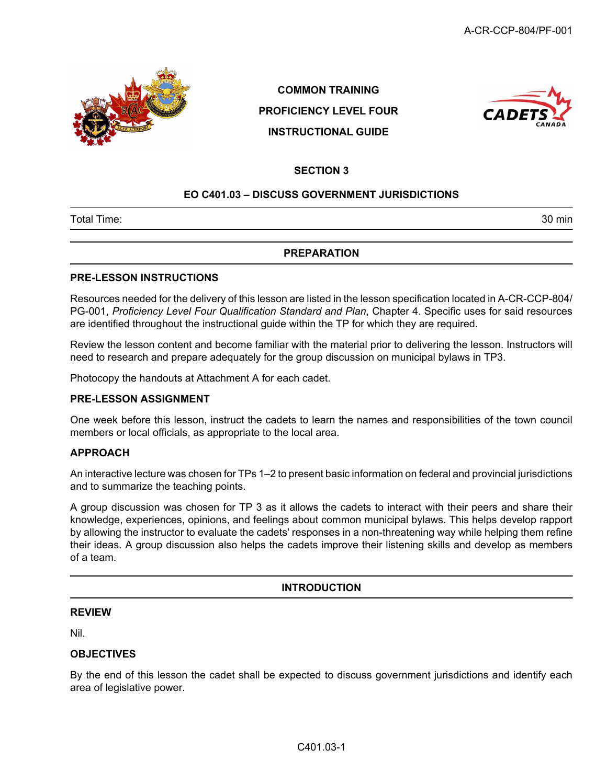

COMMON TRAINING PROFICIENCY LEVEL FOUR INSTRUCTIONAL GUIDE



# SECTION 3

### EO C401.03 – DISCUSS GOVERNMENT JURISDICTIONS

Total Time: 30 min

## PREPARATION

#### PRE-LESSON INSTRUCTIONS

Resources needed for the delivery of this lesson are listed in the lesson specification located in A-CR-CCP-804/ PG-001, Proficiency Level Four Qualification Standard and Plan, Chapter 4. Specific uses for said resources are identified throughout the instructional guide within the TP for which they are required.

Review the lesson content and become familiar with the material prior to delivering the lesson. Instructors will need to research and prepare adequately for the group discussion on municipal bylaws in TP3.

Photocopy the handouts at Attachment A for each cadet.

#### PRE-LESSON ASSIGNMENT

One week before this lesson, instruct the cadets to learn the names and responsibilities of the town council members or local officials, as appropriate to the local area.

#### APPROACH

An interactive lecture was chosen for TPs 1–2 to present basic information on federal and provincial jurisdictions and to summarize the teaching points.

A group discussion was chosen for TP 3 as it allows the cadets to interact with their peers and share their knowledge, experiences, opinions, and feelings about common municipal bylaws. This helps develop rapport by allowing the instructor to evaluate the cadets' responses in a non-threatening way while helping them refine their ideas. A group discussion also helps the cadets improve their listening skills and develop as members of a team.

# INTRODUCTION

#### REVIEW

Nil.

## **OBJECTIVES**

By the end of this lesson the cadet shall be expected to discuss government jurisdictions and identify each area of legislative power.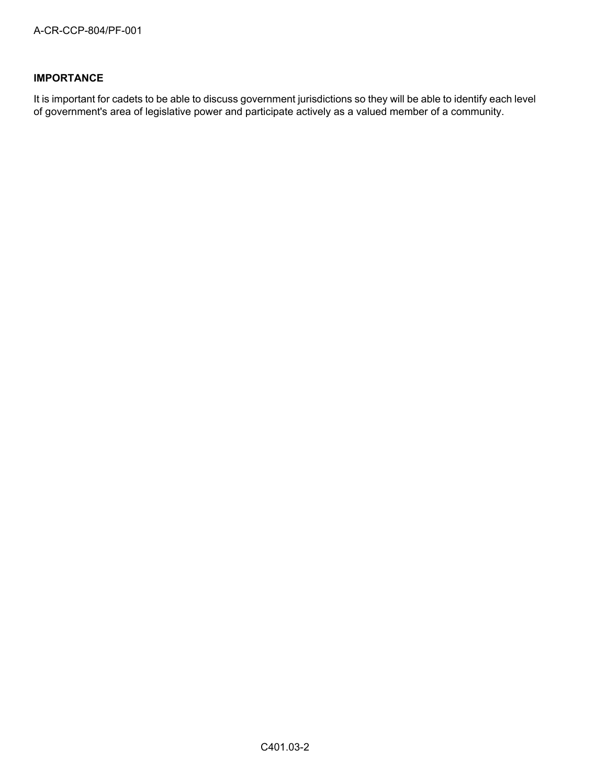# IMPORTANCE

It is important for cadets to be able to discuss government jurisdictions so they will be able to identify each level of government's area of legislative power and participate actively as a valued member of a community.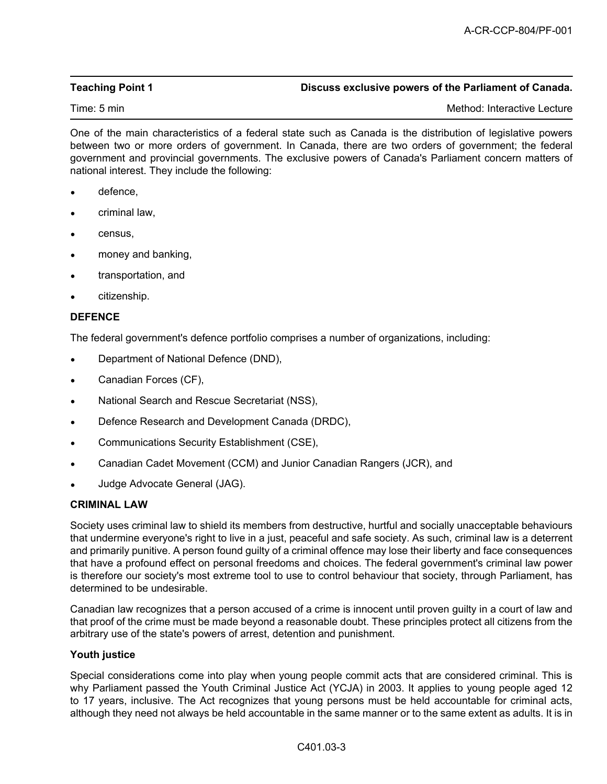# Teaching Point 1 Discuss exclusive powers of the Parliament of Canada.

Time: 5 min Method: Interactive Lecture Communication of the Method: Interactive Lecture

One of the main characteristics of a federal state such as Canada is the distribution of legislative powers between two or more orders of government. In Canada, there are two orders of government; the federal government and provincial governments. The exclusive powers of Canada's Parliament concern matters of national interest. They include the following:

- defence,
- criminal law,
- census,
- money and banking,
- transportation, and
- citizenship.

#### **DEFENCE**

The federal government's defence portfolio comprises a number of organizations, including:

- Department of National Defence (DND),  $\blacksquare$
- Canadian Forces (CF),
- National Search and Rescue Secretariat (NSS),
- Defence Research and Development Canada (DRDC),
- Communications Security Establishment (CSE),
- Canadian Cadet Movement (CCM) and Junior Canadian Rangers (JCR), and
- Judge Advocate General (JAG).

#### CRIMINAL LAW

Society uses criminal law to shield its members from destructive, hurtful and socially unacceptable behaviours that undermine everyone's right to live in a just, peaceful and safe society. As such, criminal law is a deterrent and primarily punitive. A person found guilty of a criminal offence may lose their liberty and face consequences that have a profound effect on personal freedoms and choices. The federal government's criminal law power is therefore our society's most extreme tool to use to control behaviour that society, through Parliament, has determined to be undesirable.

Canadian law recognizes that a person accused of a crime is innocent until proven guilty in a court of law and that proof of the crime must be made beyond a reasonable doubt. These principles protect all citizens from the arbitrary use of the state's powers of arrest, detention and punishment.

#### Youth justice

Special considerations come into play when young people commit acts that are considered criminal. This is why Parliament passed the Youth Criminal Justice Act (YCJA) in 2003. It applies to young people aged 12 to 17 years, inclusive. The Act recognizes that young persons must be held accountable for criminal acts, although they need not always be held accountable in the same manner or to the same extent as adults. It is in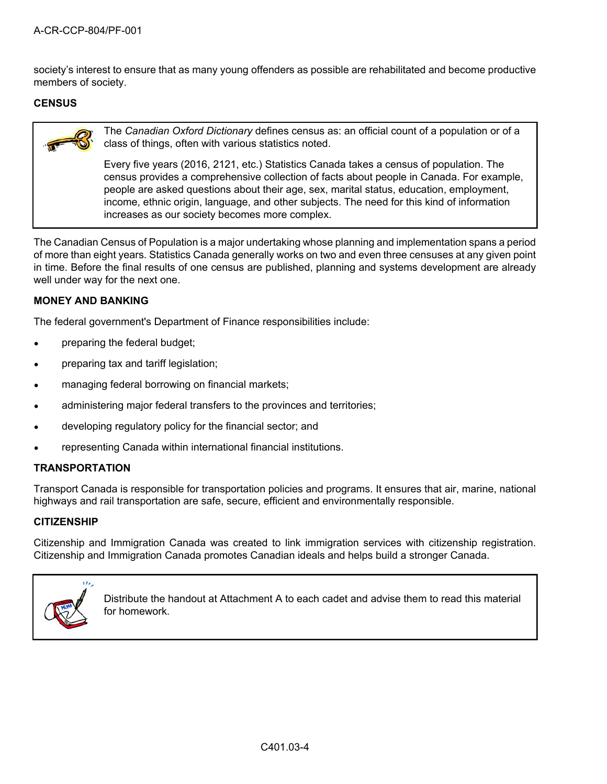society's interest to ensure that as many young offenders as possible are rehabilitated and become productive members of society.

# **CENSUS**



The Canadian Oxford Dictionary defines census as: an official count of a population or of a class of things, often with various statistics noted.

Every five years (2016, 2121, etc.) Statistics Canada takes a census of population. The census provides a comprehensive collection of facts about people in Canada. For example, people are asked questions about their age, sex, marital status, education, employment, income, ethnic origin, language, and other subjects. The need for this kind of information increases as our society becomes more complex.

The Canadian Census of Population is a major undertaking whose planning and implementation spans a period of more than eight years. Statistics Canada generally works on two and even three censuses at any given point in time. Before the final results of one census are published, planning and systems development are already well under way for the next one.

# MONEY AND BANKING

The federal government's Department of Finance responsibilities include:

- preparing the federal budget;
- preparing tax and tariff legislation;
- managing federal borrowing on financial markets;
- administering major federal transfers to the provinces and territories;  $\bullet$
- developing regulatory policy for the financial sector; and  $\bullet$
- representing Canada within international financial institutions.

# **TRANSPORTATION**

Transport Canada is responsible for transportation policies and programs. It ensures that air, marine, national highways and rail transportation are safe, secure, efficient and environmentally responsible.

## **CITIZENSHIP**

Citizenship and Immigration Canada was created to link immigration services with citizenship registration. Citizenship and Immigration Canada promotes Canadian ideals and helps build a stronger Canada.



Distribute the handout at Attachment A to each cadet and advise them to read this material for homework.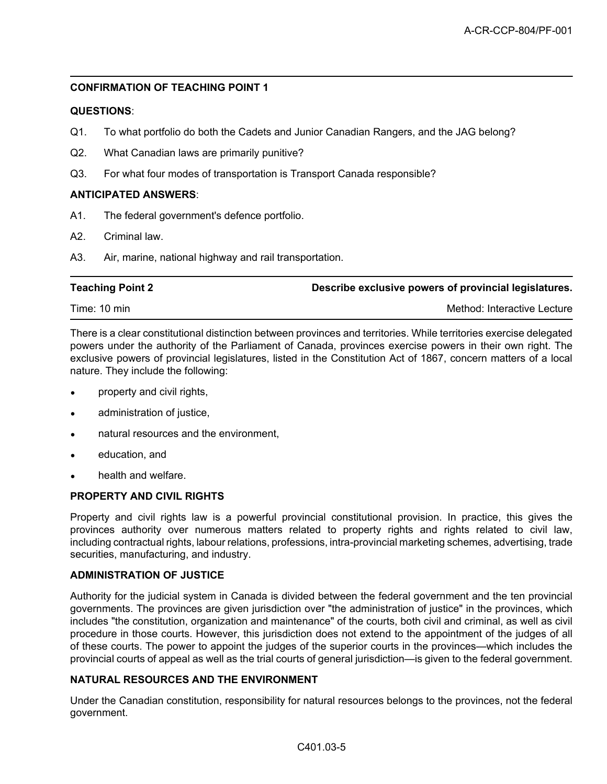## CONFIRMATION OF TEACHING POINT 1

#### QUESTIONS:

- Q1. To what portfolio do both the Cadets and Junior Canadian Rangers, and the JAG belong?
- Q2. What Canadian laws are primarily punitive?
- Q3. For what four modes of transportation is Transport Canada responsible?

#### ANTICIPATED ANSWERS:

- A1. The federal government's defence portfolio.
- A2. Criminal law.
- A3. Air, marine, national highway and rail transportation.

| <b>Teaching Point 2</b> | Describe exclusive powers of provincial legislatures. |
|-------------------------|-------------------------------------------------------|
| Time: 10 min            | Method: Interactive Lecture                           |

There is a clear constitutional distinction between provinces and territories. While territories exercise delegated powers under the authority of the Parliament of Canada, provinces exercise powers in their own right. The exclusive powers of provincial legislatures, listed in the Constitution Act of 1867, concern matters of a local nature. They include the following:

- property and civil rights,
- administration of justice,
- natural resources and the environment,
- education, and
- health and welfare.

## PROPERTY AND CIVIL RIGHTS

Property and civil rights law is a powerful provincial constitutional provision. In practice, this gives the provinces authority over numerous matters related to property rights and rights related to civil law, including contractual rights, labour relations, professions, intra-provincial marketing schemes, advertising, trade securities, manufacturing, and industry.

#### ADMINISTRATION OF JUSTICE

Authority for the judicial system in Canada is divided between the federal government and the ten provincial governments. The provinces are given jurisdiction over "the administration of justice" in the provinces, which includes "the constitution, organization and maintenance" of the courts, both civil and criminal, as well as civil procedure in those courts. However, this jurisdiction does not extend to the appointment of the judges of all of these courts. The power to appoint the judges of the superior courts in the provinces—which includes the provincial courts of appeal as well as the trial courts of general jurisdiction—is given to the federal government.

## NATURAL RESOURCES AND THE ENVIRONMENT

Under the Canadian constitution, responsibility for natural resources belongs to the provinces, not the federal government.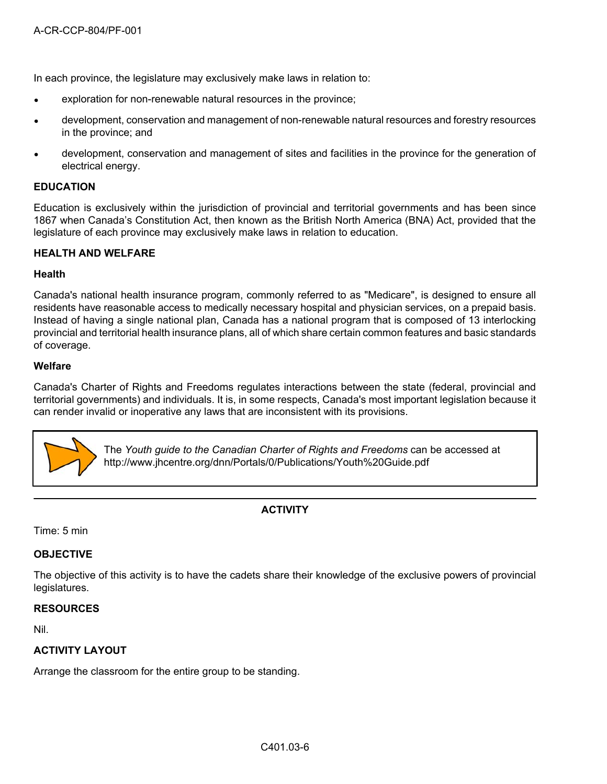In each province, the legislature may exclusively make laws in relation to:

- exploration for non-renewable natural resources in the province;
- development, conservation and management of non-renewable natural resources and forestry resources in the province; and
- development, conservation and management of sites and facilities in the province for the generation of electrical energy.

### **EDUCATION**

Education is exclusively within the jurisdiction of provincial and territorial governments and has been since 1867 when Canada's Constitution Act, then known as the British North America (BNA) Act, provided that the legislature of each province may exclusively make laws in relation to education.

#### HEALTH AND WELFARE

#### **Health**

Canada's national health insurance program, commonly referred to as "Medicare", is designed to ensure all residents have reasonable access to medically necessary hospital and physician services, on a prepaid basis. Instead of having a single national plan, Canada has a national program that is composed of 13 interlocking provincial and territorial health insurance plans, all of which share certain common features and basic standards of coverage.

#### **Welfare**

Canada's Charter of Rights and Freedoms regulates interactions between the state (federal, provincial and territorial governments) and individuals. It is, in some respects, Canada's most important legislation because it can render invalid or inoperative any laws that are inconsistent with its provisions.



The Youth guide to the Canadian Charter of Rights and Freedoms can be accessed at http://www.jhcentre.org/dnn/Portals/0/Publications/Youth%20Guide.pdf

## ACTIVITY

Time: 5 min

#### **OBJECTIVE**

The objective of this activity is to have the cadets share their knowledge of the exclusive powers of provincial legislatures.

#### RESOURCES

Nil.

# ACTIVITY LAYOUT

Arrange the classroom for the entire group to be standing.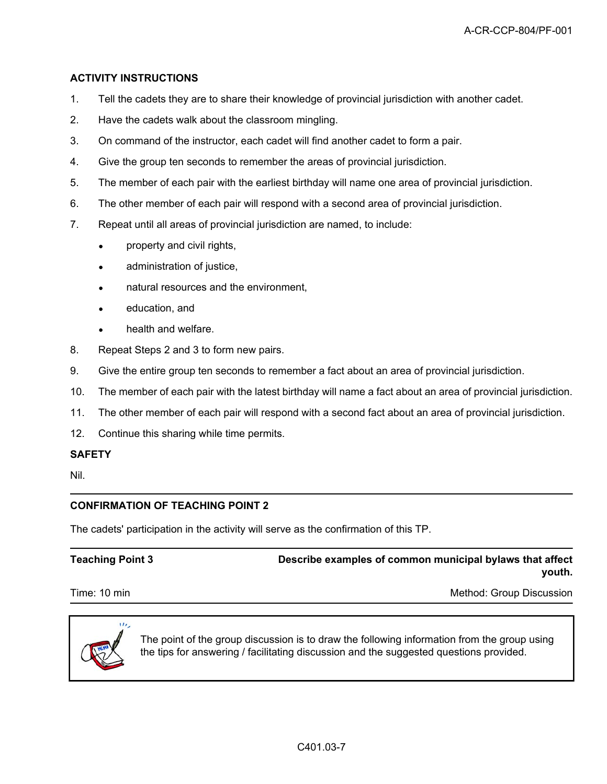# ACTIVITY INSTRUCTIONS

- 1. Tell the cadets they are to share their knowledge of provincial jurisdiction with another cadet.
- 2. Have the cadets walk about the classroom mingling.
- 3. On command of the instructor, each cadet will find another cadet to form a pair.
- 4. Give the group ten seconds to remember the areas of provincial jurisdiction.
- 5. The member of each pair with the earliest birthday will name one area of provincial jurisdiction.
- 6. The other member of each pair will respond with a second area of provincial jurisdiction.
- 7. Repeat until all areas of provincial jurisdiction are named, to include:
	- property and civil rights,
	- administration of justice,
	- natural resources and the environment,
	- education, and
	- health and welfare.
- 8. Repeat Steps 2 and 3 to form new pairs.
- 9. Give the entire group ten seconds to remember a fact about an area of provincial jurisdiction.
- 10. The member of each pair with the latest birthday will name a fact about an area of provincial jurisdiction.
- 11. The other member of each pair will respond with a second fact about an area of provincial jurisdiction.
- 12. Continue this sharing while time permits.

## **SAFETY**

Nil.

## CONFIRMATION OF TEACHING POINT 2

The cadets' participation in the activity will serve as the confirmation of this TP.

# Teaching Point 3 Describe examples of common municipal bylaws that affect youth.

Time: 10 min Method: Group Discussion Nethod: Group Discussion



The point of the group discussion is to draw the following information from the group using the tips for answering / facilitating discussion and the suggested questions provided.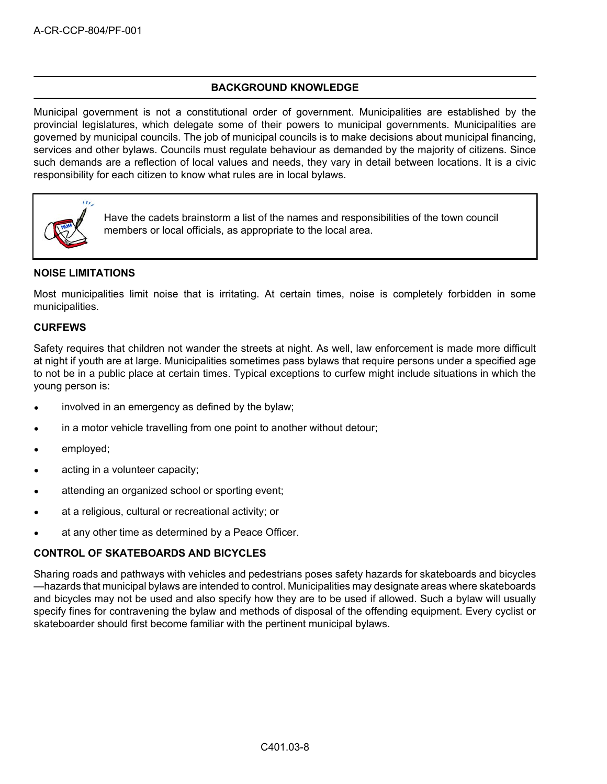# BACKGROUND KNOWLEDGE

Municipal government is not a constitutional order of government. Municipalities are established by the provincial legislatures, which delegate some of their powers to municipal governments. Municipalities are governed by municipal councils. The job of municipal councils is to make decisions about municipal financing, services and other bylaws. Councils must regulate behaviour as demanded by the majority of citizens. Since such demands are a reflection of local values and needs, they vary in detail between locations. It is a civic responsibility for each citizen to know what rules are in local bylaws.



Have the cadets brainstorm a list of the names and responsibilities of the town council members or local officials, as appropriate to the local area.

## NOISE LIMITATIONS

Most municipalities limit noise that is irritating. At certain times, noise is completely forbidden in some municipalities.

## CURFEWS

Safety requires that children not wander the streets at night. As well, law enforcement is made more difficult at night if youth are at large. Municipalities sometimes pass bylaws that require persons under a specified age to not be in a public place at certain times. Typical exceptions to curfew might include situations in which the young person is:

- involved in an emergency as defined by the bylaw;
- in a motor vehicle travelling from one point to another without detour;
- employed;
- acting in a volunteer capacity;
- attending an organized school or sporting event;
- at a religious, cultural or recreational activity; or
- at any other time as determined by a Peace Officer.

## CONTROL OF SKATEBOARDS AND BICYCLES

Sharing roads and pathways with vehicles and pedestrians poses safety hazards for skateboards and bicycles —hazards that municipal bylaws are intended to control. Municipalities may designate areas where skateboards and bicycles may not be used and also specify how they are to be used if allowed. Such a bylaw will usually specify fines for contravening the bylaw and methods of disposal of the offending equipment. Every cyclist or skateboarder should first become familiar with the pertinent municipal bylaws.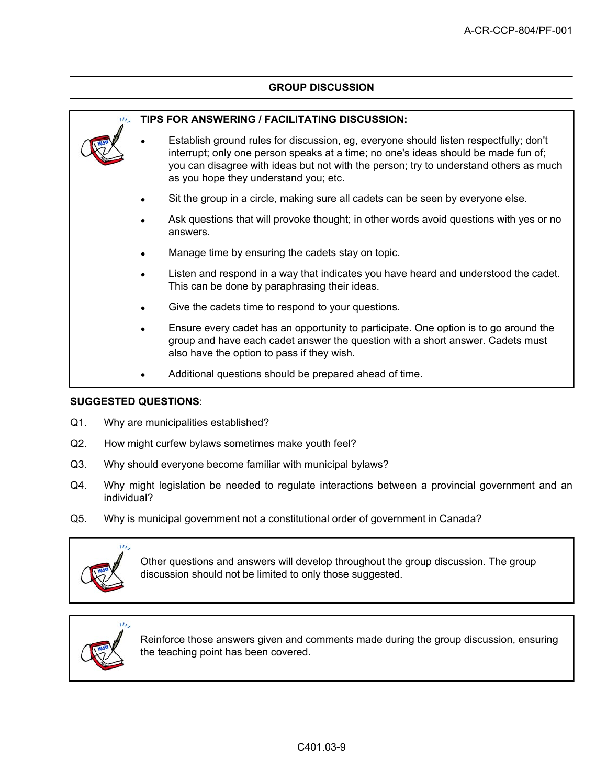# GROUP DISCUSSION



#### SUGGESTED QUESTIONS:

- Q1. Why are municipalities established?
- Q2. How might curfew bylaws sometimes make youth feel?
- Q3. Why should everyone become familiar with municipal bylaws?
- Q4. Why might legislation be needed to regulate interactions between a provincial government and an individual?
- Q5. Why is municipal government not a constitutional order of government in Canada?



Other questions and answers will develop throughout the group discussion. The group discussion should not be limited to only those suggested.



Reinforce those answers given and comments made during the group discussion, ensuring the teaching point has been covered.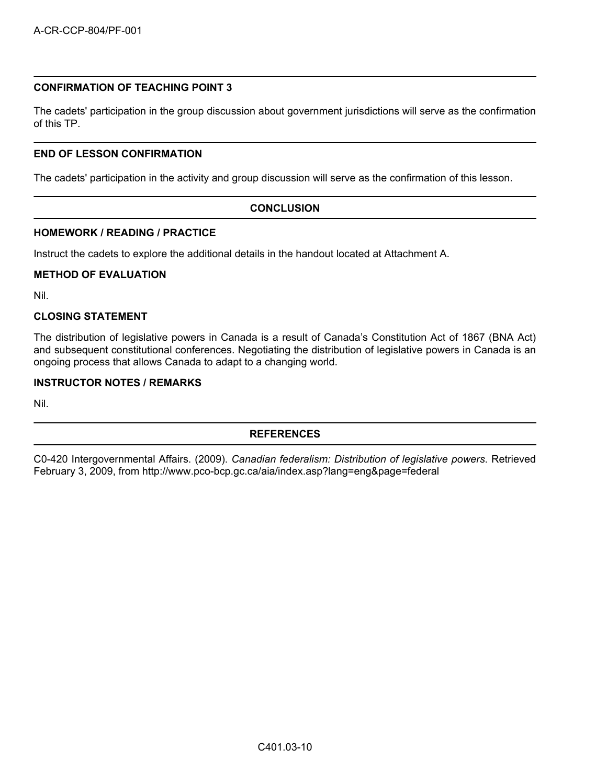## CONFIRMATION OF TEACHING POINT 3

The cadets' participation in the group discussion about government jurisdictions will serve as the confirmation of this TP.

### END OF LESSON CONFIRMATION

The cadets' participation in the activity and group discussion will serve as the confirmation of this lesson.

#### **CONCLUSION**

#### HOMEWORK / READING / PRACTICE

Instruct the cadets to explore the additional details in the handout located at Attachment A.

## METHOD OF EVALUATION

Nil.

## CLOSING STATEMENT

The distribution of legislative powers in Canada is a result of Canada's Constitution Act of 1867 (BNA Act) and subsequent constitutional conferences. Negotiating the distribution of legislative powers in Canada is an ongoing process that allows Canada to adapt to a changing world.

# INSTRUCTOR NOTES / REMARKS

Nil.

# **REFERENCES**

C0-420 Intergovernmental Affairs. (2009). Canadian federalism: Distribution of legislative powers. Retrieved February 3, 2009, from http://www.pco-bcp.gc.ca/aia/index.asp?lang=eng&page=federal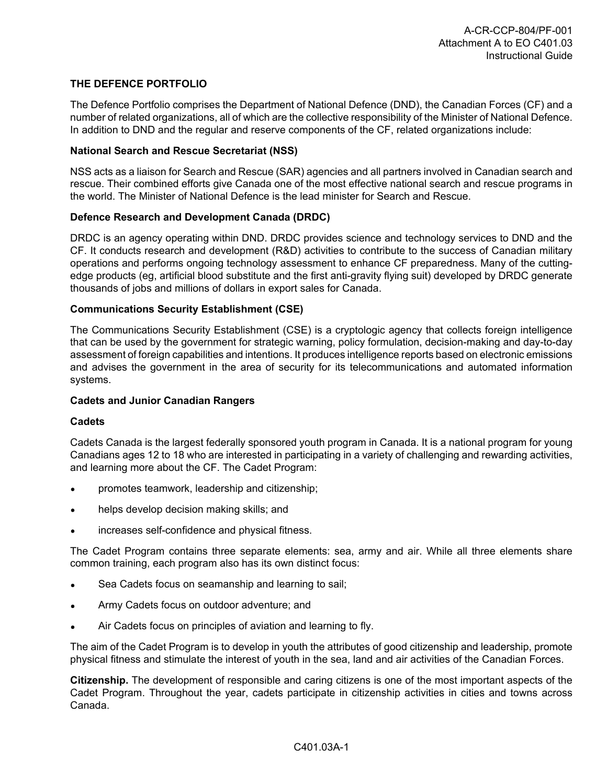# THE DEFENCE PORTFOLIO

The Defence Portfolio comprises the Department of National Defence (DND), the Canadian Forces (CF) and a number of related organizations, all of which are the collective responsibility of the Minister of National Defence. In addition to DND and the regular and reserve components of the CF, related organizations include:

### National Search and Rescue Secretariat (NSS)

NSS acts as a liaison for Search and Rescue (SAR) agencies and all partners involved in Canadian search and rescue. Their combined efforts give Canada one of the most effective national search and rescue programs in the world. The Minister of National Defence is the lead minister for Search and Rescue.

#### Defence Research and Development Canada (DRDC)

DRDC is an agency operating within DND. DRDC provides science and technology services to DND and the CF. It conducts research and development (R&D) activities to contribute to the success of Canadian military operations and performs ongoing technology assessment to enhance CF preparedness. Many of the cuttingedge products (eg, artificial blood substitute and the first anti-gravity flying suit) developed by DRDC generate thousands of jobs and millions of dollars in export sales for Canada.

#### Communications Security Establishment (CSE)

The Communications Security Establishment (CSE) is a cryptologic agency that collects foreign intelligence that can be used by the government for strategic warning, policy formulation, decision-making and day-to-day assessment of foreign capabilities and intentions. It produces intelligence reports based on electronic emissions and advises the government in the area of security for its telecommunications and automated information systems.

#### Cadets and Junior Canadian Rangers

## **Cadets**

Cadets Canada is the largest federally sponsored youth program in Canada. It is a national program for young Canadians ages 12 to 18 who are interested in participating in a variety of challenging and rewarding activities, and learning more about the CF. The Cadet Program:

- promotes teamwork, leadership and citizenship;
- helps develop decision making skills; and
- increases self-confidence and physical fitness.

The Cadet Program contains three separate elements: sea, army and air. While all three elements share common training, each program also has its own distinct focus:

- Sea Cadets focus on seamanship and learning to sail;
- Army Cadets focus on outdoor adventure; and
- Air Cadets focus on principles of aviation and learning to fly.

The aim of the Cadet Program is to develop in youth the attributes of good citizenship and leadership, promote physical fitness and stimulate the interest of youth in the sea, land and air activities of the Canadian Forces.

Citizenship. The development of responsible and caring citizens is one of the most important aspects of the Cadet Program. Throughout the year, cadets participate in citizenship activities in cities and towns across Canada.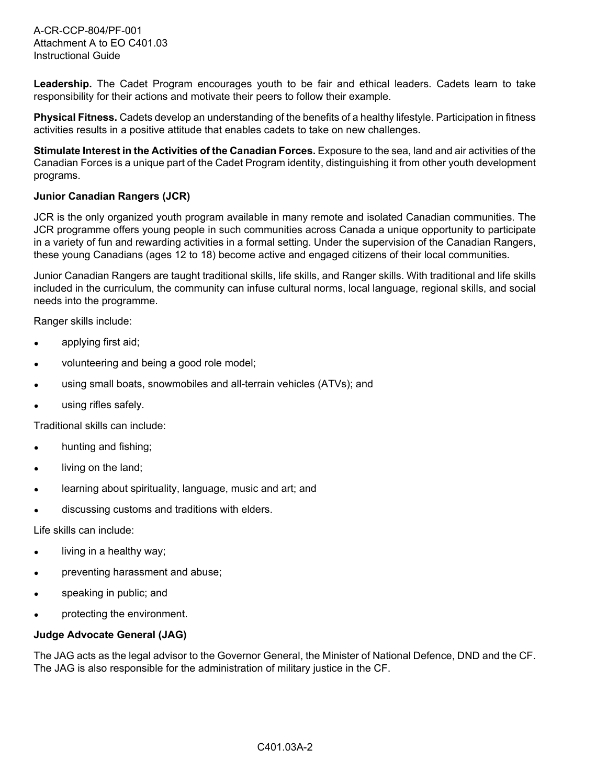A-CR-CCP-804/PF-001 Attachment A to EO C401.03 Instructional Guide

Leadership. The Cadet Program encourages youth to be fair and ethical leaders. Cadets learn to take responsibility for their actions and motivate their peers to follow their example.

Physical Fitness. Cadets develop an understanding of the benefits of a healthy lifestyle. Participation in fitness activities results in a positive attitude that enables cadets to take on new challenges.

Stimulate Interest in the Activities of the Canadian Forces. Exposure to the sea, land and air activities of the Canadian Forces is a unique part of the Cadet Program identity, distinguishing it from other youth development programs.

# Junior Canadian Rangers (JCR)

JCR is the only organized youth program available in many remote and isolated Canadian communities. The JCR programme offers young people in such communities across Canada a unique opportunity to participate in a variety of fun and rewarding activities in a formal setting. Under the supervision of the Canadian Rangers, these young Canadians (ages 12 to 18) become active and engaged citizens of their local communities.

Junior Canadian Rangers are taught traditional skills, life skills, and Ranger skills. With traditional and life skills included in the curriculum, the community can infuse cultural norms, local language, regional skills, and social needs into the programme.

Ranger skills include:

- applying first aid;
- volunteering and being a good role model;
- using small boats, snowmobiles and all-terrain vehicles (ATVs); and
- using rifles safely.

Traditional skills can include:

- hunting and fishing;
- living on the land;
- learning about spirituality, language, music and art; and
- discussing customs and traditions with elders.

Life skills can include:

- living in a healthy way;
- preventing harassment and abuse;  $\bullet$
- speaking in public; and  $\bullet$
- protecting the environment.  $\bullet$

## Judge Advocate General (JAG)

The JAG acts as the legal advisor to the Governor General, the Minister of National Defence, DND and the CF. The JAG is also responsible for the administration of military justice in the CF.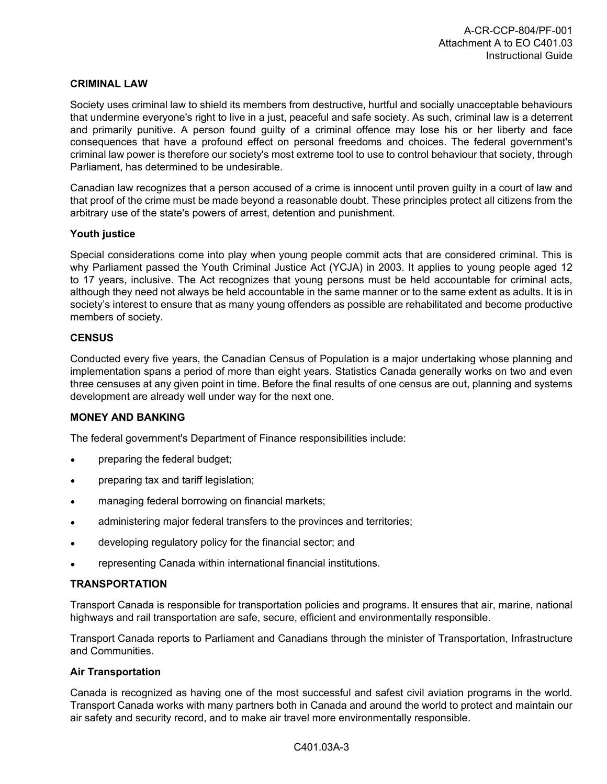## CRIMINAL LAW

Society uses criminal law to shield its members from destructive, hurtful and socially unacceptable behaviours that undermine everyone's right to live in a just, peaceful and safe society. As such, criminal law is a deterrent and primarily punitive. A person found guilty of a criminal offence may lose his or her liberty and face consequences that have a profound effect on personal freedoms and choices. The federal government's criminal law power is therefore our society's most extreme tool to use to control behaviour that society, through Parliament, has determined to be undesirable.

Canadian law recognizes that a person accused of a crime is innocent until proven guilty in a court of law and that proof of the crime must be made beyond a reasonable doubt. These principles protect all citizens from the arbitrary use of the state's powers of arrest, detention and punishment.

## Youth justice

Special considerations come into play when young people commit acts that are considered criminal. This is why Parliament passed the Youth Criminal Justice Act (YCJA) in 2003. It applies to young people aged 12 to 17 years, inclusive. The Act recognizes that young persons must be held accountable for criminal acts, although they need not always be held accountable in the same manner or to the same extent as adults. It is in society's interest to ensure that as many young offenders as possible are rehabilitated and become productive members of society.

## **CENSUS**

Conducted every five years, the Canadian Census of Population is a major undertaking whose planning and implementation spans a period of more than eight years. Statistics Canada generally works on two and even three censuses at any given point in time. Before the final results of one census are out, planning and systems development are already well under way for the next one.

## MONEY AND BANKING

The federal government's Department of Finance responsibilities include:

- preparing the federal budget;
- preparing tax and tariff legislation;
- managing federal borrowing on financial markets;
- administering major federal transfers to the provinces and territories;
- developing regulatory policy for the financial sector; and
- representing Canada within international financial institutions.

## **TRANSPORTATION**

Transport Canada is responsible for transportation policies and programs. It ensures that air, marine, national highways and rail transportation are safe, secure, efficient and environmentally responsible.

Transport Canada reports to Parliament and Canadians through the minister of Transportation, Infrastructure and Communities.

## Air Transportation

Canada is recognized as having one of the most successful and safest civil aviation programs in the world. Transport Canada works with many partners both in Canada and around the world to protect and maintain our air safety and security record, and to make air travel more environmentally responsible.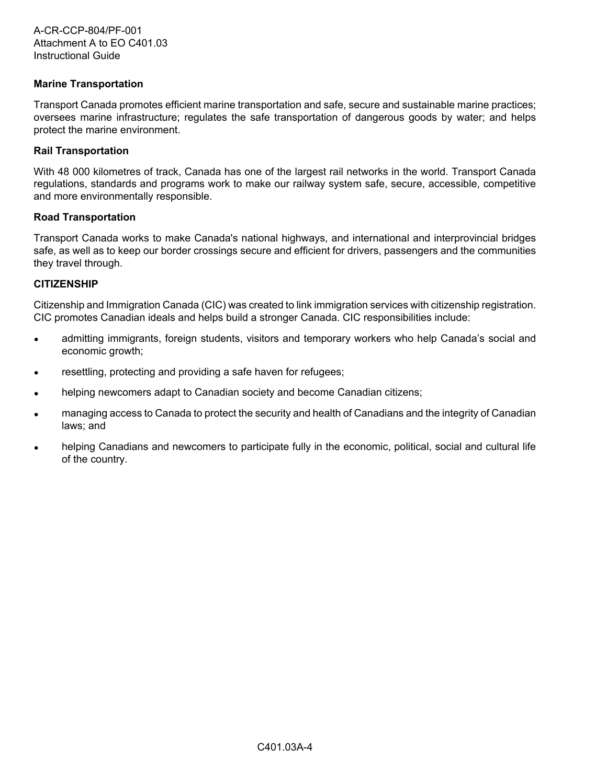A-CR-CCP-804/PF-001 Attachment A to EO C401.03 Instructional Guide

## Marine Transportation

Transport Canada promotes efficient marine transportation and safe, secure and sustainable marine practices; oversees marine infrastructure; regulates the safe transportation of dangerous goods by water; and helps protect the marine environment.

#### Rail Transportation

With 48 000 kilometres of track, Canada has one of the largest rail networks in the world. Transport Canada regulations, standards and programs work to make our railway system safe, secure, accessible, competitive and more environmentally responsible.

#### Road Transportation

Transport Canada works to make Canada's national highways, and international and interprovincial bridges safe, as well as to keep our border crossings secure and efficient for drivers, passengers and the communities they travel through.

#### **CITIZENSHIP**

Citizenship and Immigration Canada (CIC) was created to link immigration services with citizenship registration. CIC promotes Canadian ideals and helps build a stronger Canada. CIC responsibilities include:

- admitting immigrants, foreign students, visitors and temporary workers who help Canada's social and  $\bullet$ economic growth;
- resettling, protecting and providing a safe haven for refugees;  $\bullet$
- helping newcomers adapt to Canadian society and become Canadian citizens;  $\bullet$
- managing access to Canada to protect the security and health of Canadians and the integrity of Canadian  $\bullet$ laws; and
- helping Canadians and newcomers to participate fully in the economic, political, social and cultural life of the country.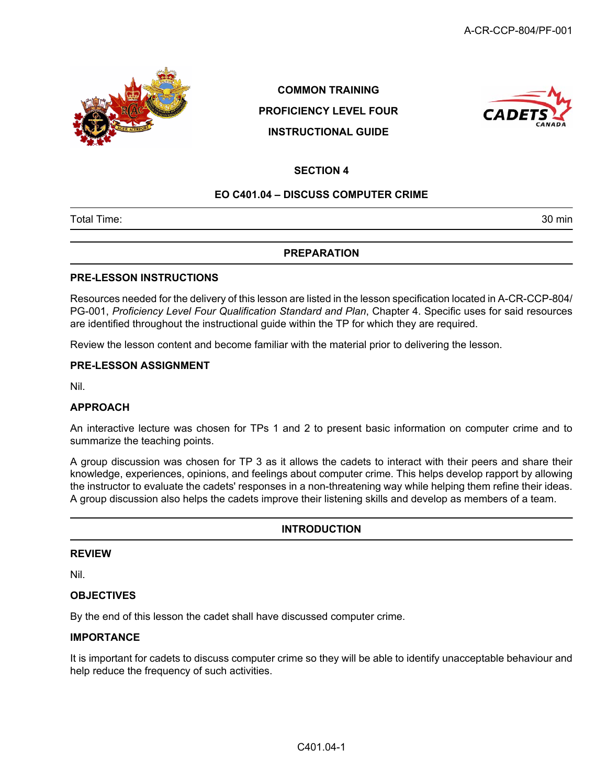

COMMON TRAINING PROFICIENCY LEVEL FOUR INSTRUCTIONAL GUIDE



# SECTION 4

#### EO C401.04 – DISCUSS COMPUTER CRIME

Total Time: 30 min

## PREPARATION

#### PRE-LESSON INSTRUCTIONS

Resources needed for the delivery of this lesson are listed in the lesson specification located in A-CR-CCP-804/ PG-001, Proficiency Level Four Qualification Standard and Plan, Chapter 4. Specific uses for said resources are identified throughout the instructional guide within the TP for which they are required.

Review the lesson content and become familiar with the material prior to delivering the lesson.

#### PRE-LESSON ASSIGNMENT

Nil.

#### APPROACH

An interactive lecture was chosen for TPs 1 and 2 to present basic information on computer crime and to summarize the teaching points.

A group discussion was chosen for TP 3 as it allows the cadets to interact with their peers and share their knowledge, experiences, opinions, and feelings about computer crime. This helps develop rapport by allowing the instructor to evaluate the cadets' responses in a non-threatening way while helping them refine their ideas. A group discussion also helps the cadets improve their listening skills and develop as members of a team.

## INTRODUCTION

#### REVIEW

Nil.

#### **OBJECTIVES**

By the end of this lesson the cadet shall have discussed computer crime.

#### IMPORTANCE

It is important for cadets to discuss computer crime so they will be able to identify unacceptable behaviour and help reduce the frequency of such activities.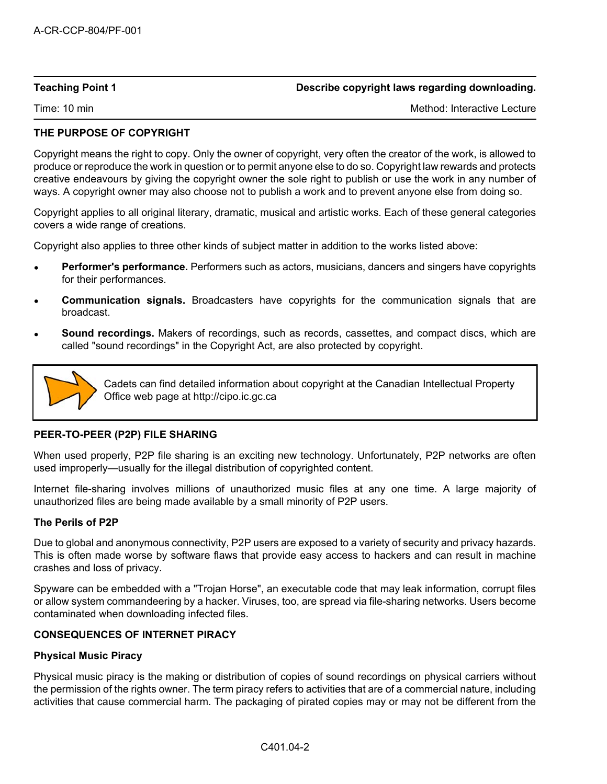### Teaching Point 1 **Teaching Point 1** Describe copyright laws regarding downloading.

Time: 10 min Method: Interactive Lecture Communication of the Method: Interactive Lecture

# THE PURPOSE OF COPYRIGHT

Copyright means the right to copy. Only the owner of copyright, very often the creator of the work, is allowed to produce or reproduce the work in question or to permit anyone else to do so. Copyright law rewards and protects creative endeavours by giving the copyright owner the sole right to publish or use the work in any number of ways. A copyright owner may also choose not to publish a work and to prevent anyone else from doing so.

Copyright applies to all original literary, dramatic, musical and artistic works. Each of these general categories covers a wide range of creations.

Copyright also applies to three other kinds of subject matter in addition to the works listed above:

- Performer's performance. Performers such as actors, musicians, dancers and singers have copyrights for their performances.
- Communication signals. Broadcasters have copyrights for the communication signals that are  $\bullet$ broadcast.
- Sound recordings. Makers of recordings, such as records, cassettes, and compact discs, which are called "sound recordings" in the Copyright Act, are also protected by copyright.



Cadets can find detailed information about copyright at the Canadian Intellectual Property Office web page at http://cipo.ic.gc.ca

#### PEER-TO-PEER (P2P) FILE SHARING

When used properly, P2P file sharing is an exciting new technology. Unfortunately, P2P networks are often used improperly—usually for the illegal distribution of copyrighted content.

Internet file-sharing involves millions of unauthorized music files at any one time. A large majority of unauthorized files are being made available by a small minority of P2P users.

#### The Perils of P2P

Due to global and anonymous connectivity, P2P users are exposed to a variety of security and privacy hazards. This is often made worse by software flaws that provide easy access to hackers and can result in machine crashes and loss of privacy.

Spyware can be embedded with a "Trojan Horse", an executable code that may leak information, corrupt files or allow system commandeering by a hacker. Viruses, too, are spread via file-sharing networks. Users become contaminated when downloading infected files.

## CONSEQUENCES OF INTERNET PIRACY

#### Physical Music Piracy

Physical music piracy is the making or distribution of copies of sound recordings on physical carriers without the permission of the rights owner. The term piracy refers to activities that are of a commercial nature, including activities that cause commercial harm. The packaging of pirated copies may or may not be different from the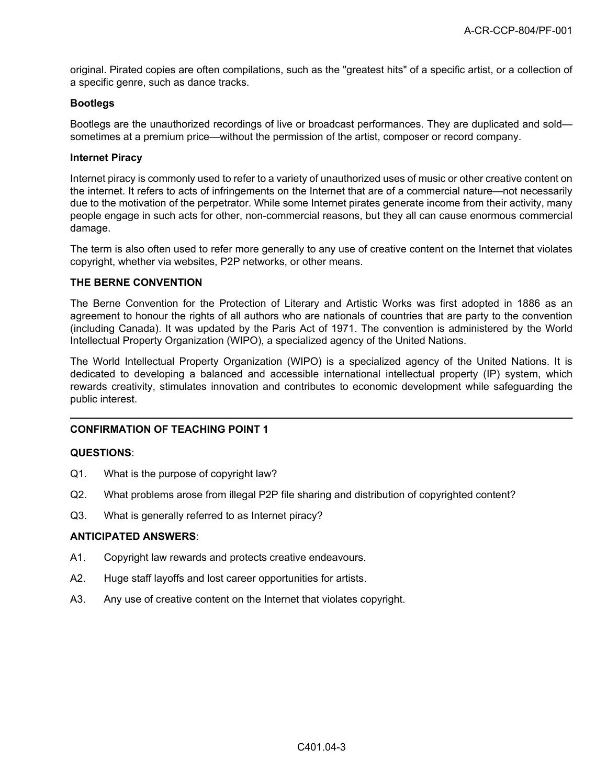original. Pirated copies are often compilations, such as the "greatest hits" of a specific artist, or a collection of a specific genre, such as dance tracks.

#### Bootlegs

Bootlegs are the unauthorized recordings of live or broadcast performances. They are duplicated and sold sometimes at a premium price—without the permission of the artist, composer or record company.

#### Internet Piracy

Internet piracy is commonly used to refer to a variety of unauthorized uses of music or other creative content on the internet. It refers to acts of infringements on the Internet that are of a commercial nature—not necessarily due to the motivation of the perpetrator. While some Internet pirates generate income from their activity, many people engage in such acts for other, non-commercial reasons, but they all can cause enormous commercial damage.

The term is also often used to refer more generally to any use of creative content on the Internet that violates copyright, whether via websites, P2P networks, or other means.

#### THE BERNE CONVENTION

The Berne Convention for the Protection of Literary and Artistic Works was first adopted in 1886 as an agreement to honour the rights of all authors who are nationals of countries that are party to the convention (including Canada). It was updated by the Paris Act of 1971. The convention is administered by the World Intellectual Property Organization (WIPO), a specialized agency of the United Nations.

The World Intellectual Property Organization (WIPO) is a specialized agency of the United Nations. It is dedicated to developing a balanced and accessible international intellectual property (IP) system, which rewards creativity, stimulates innovation and contributes to economic development while safeguarding the public interest.

## CONFIRMATION OF TEACHING POINT 1

#### QUESTIONS:

- Q1. What is the purpose of copyright law?
- Q2. What problems arose from illegal P2P file sharing and distribution of copyrighted content?
- Q3. What is generally referred to as Internet piracy?

## ANTICIPATED ANSWERS:

- A1. Copyright law rewards and protects creative endeavours.
- A2. Huge staff layoffs and lost career opportunities for artists.
- A3. Any use of creative content on the Internet that violates copyright.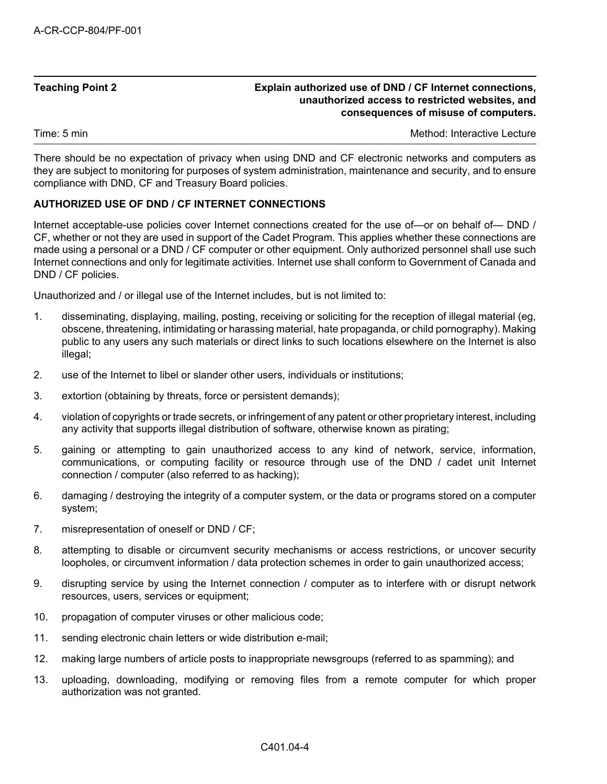## Teaching Point 2 Explain authorized use of DND / CF Internet connections, unauthorized access to restricted websites, and consequences of misuse of computers.

Time: 5 min Method: Interactive Lecture Companies And Method: Interactive Lecture

There should be no expectation of privacy when using DND and CF electronic networks and computers as they are subject to monitoring for purposes of system administration, maintenance and security, and to ensure compliance with DND, CF and Treasury Board policies.

# AUTHORIZED USE OF DND / CF INTERNET CONNECTIONS

Internet acceptable-use policies cover Internet connections created for the use of—or on behalf of— DND / CF, whether or not they are used in support of the Cadet Program. This applies whether these connections are made using a personal or a DND / CF computer or other equipment. Only authorized personnel shall use such Internet connections and only for legitimate activities. Internet use shall conform to Government of Canada and DND / CF policies.

Unauthorized and / or illegal use of the Internet includes, but is not limited to:

- 1. disseminating, displaying, mailing, posting, receiving or soliciting for the reception of illegal material (eg, obscene, threatening, intimidating or harassing material, hate propaganda, or child pornography). Making public to any users any such materials or direct links to such locations elsewhere on the Internet is also illegal;
- 2. use of the Internet to libel or slander other users, individuals or institutions;
- 3. extortion (obtaining by threats, force or persistent demands);
- 4. violation of copyrights or trade secrets, or infringement of any patent or other proprietary interest, including any activity that supports illegal distribution of software, otherwise known as pirating;
- 5. gaining or attempting to gain unauthorized access to any kind of network, service, information, communications, or computing facility or resource through use of the DND / cadet unit Internet connection / computer (also referred to as hacking);
- 6. damaging / destroying the integrity of a computer system, or the data or programs stored on a computer system;
- 7. misrepresentation of oneself or DND / CF;
- 8. attempting to disable or circumvent security mechanisms or access restrictions, or uncover security loopholes, or circumvent information / data protection schemes in order to gain unauthorized access;
- 9. disrupting service by using the Internet connection / computer as to interfere with or disrupt network resources, users, services or equipment;
- 10. propagation of computer viruses or other malicious code;
- 11. sending electronic chain letters or wide distribution e-mail;
- 12. making large numbers of article posts to inappropriate newsgroups (referred to as spamming); and
- 13. uploading, downloading, modifying or removing files from a remote computer for which proper authorization was not granted.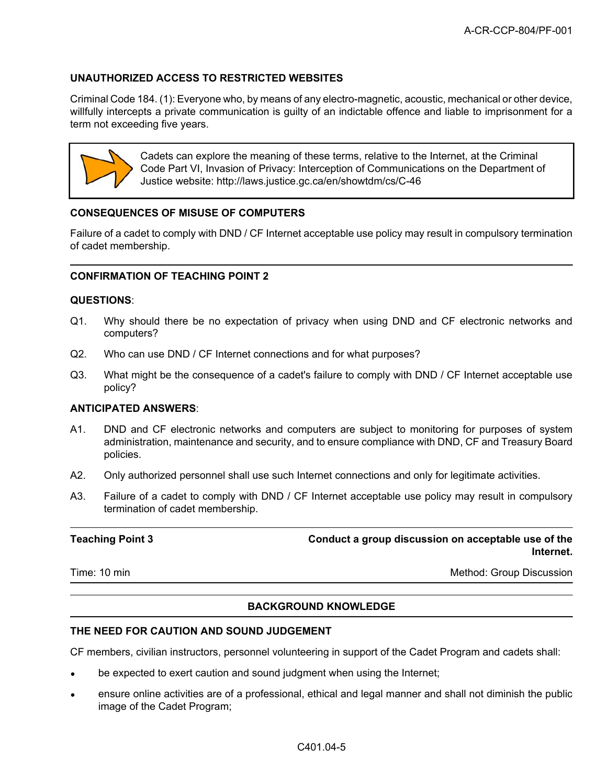## UNAUTHORIZED ACCESS TO RESTRICTED WEBSITES

Criminal Code 184. (1): Everyone who, by means of any electro-magnetic, acoustic, mechanical or other device, willfully intercepts a private communication is guilty of an indictable offence and liable to imprisonment for a term not exceeding five years.



Cadets can explore the meaning of these terms, relative to the Internet, at the Criminal Code Part VI, Invasion of Privacy: Interception of Communications on the Department of Justice website: http://laws.justice.gc.ca/en/showtdm/cs/C-46

#### CONSEQUENCES OF MISUSE OF COMPUTERS

Failure of a cadet to comply with DND / CF Internet acceptable use policy may result in compulsory termination of cadet membership.

#### CONFIRMATION OF TEACHING POINT 2

#### QUESTIONS:

- Q1. Why should there be no expectation of privacy when using DND and CF electronic networks and computers?
- Q2. Who can use DND / CF Internet connections and for what purposes?
- Q3. What might be the consequence of a cadet's failure to comply with DND / CF Internet acceptable use policy?

#### ANTICIPATED ANSWERS:

- A1. DND and CF electronic networks and computers are subject to monitoring for purposes of system administration, maintenance and security, and to ensure compliance with DND, CF and Treasury Board policies.
- A2. Only authorized personnel shall use such Internet connections and only for legitimate activities.
- A3. Failure of a cadet to comply with DND / CF Internet acceptable use policy may result in compulsory termination of cadet membership.

Teaching Point 3 Conduct a group discussion on acceptable use of the Internet.

Time: 10 min Method: Group Discussion Method: Group Discussion

#### BACKGROUND KNOWLEDGE

#### THE NEED FOR CAUTION AND SOUND JUDGEMENT

CF members, civilian instructors, personnel volunteering in support of the Cadet Program and cadets shall:

- be expected to exert caution and sound judgment when using the Internet;
- ensure online activities are of a professional, ethical and legal manner and shall not diminish the public image of the Cadet Program;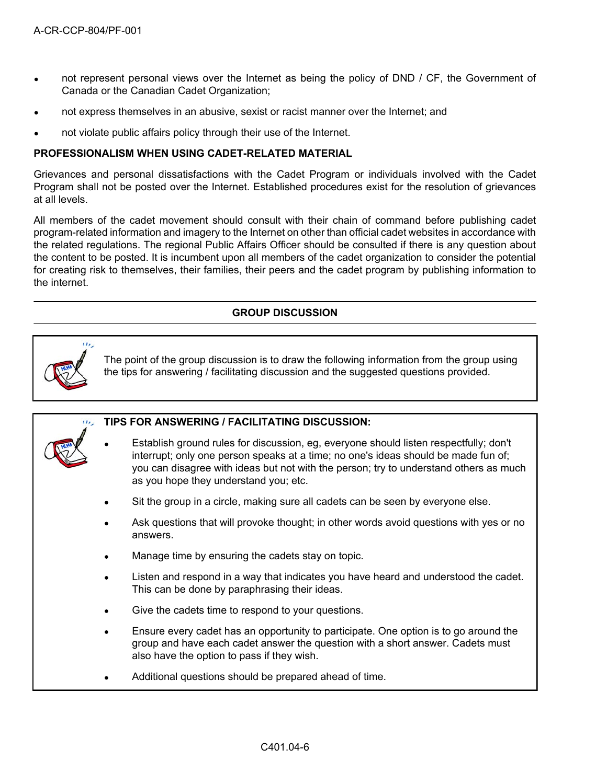- not represent personal views over the Internet as being the policy of DND / CF, the Government of Canada or the Canadian Cadet Organization;
- not express themselves in an abusive, sexist or racist manner over the Internet; and
- not violate public affairs policy through their use of the Internet.

#### PROFESSIONALISM WHEN USING CADET-RELATED MATERIAL

Grievances and personal dissatisfactions with the Cadet Program or individuals involved with the Cadet Program shall not be posted over the Internet. Established procedures exist for the resolution of grievances at all levels.

All members of the cadet movement should consult with their chain of command before publishing cadet program-related information and imagery to the Internet on other than official cadet websites in accordance with the related regulations. The regional Public Affairs Officer should be consulted if there is any question about the content to be posted. It is incumbent upon all members of the cadet organization to consider the potential for creating risk to themselves, their families, their peers and the cadet program by publishing information to the internet.

# GROUP DISCUSSION



The point of the group discussion is to draw the following information from the group using the tips for answering / facilitating discussion and the suggested questions provided.



## TIPS FOR ANSWERING / FACILITATING DISCUSSION:

- Establish ground rules for discussion, eg, everyone should listen respectfully; don't interrupt; only one person speaks at a time; no one's ideas should be made fun of; you can disagree with ideas but not with the person; try to understand others as much as you hope they understand you; etc.
- Sit the group in a circle, making sure all cadets can be seen by everyone else.  $\bullet$
- Ask questions that will provoke thought; in other words avoid questions with yes or no  $\bullet$ answers.
- Manage time by ensuring the cadets stay on topic.
- Listen and respond in a way that indicates you have heard and understood the cadet. This can be done by paraphrasing their ideas.
- Give the cadets time to respond to your questions.  $\bullet$
- Ensure every cadet has an opportunity to participate. One option is to go around the group and have each cadet answer the question with a short answer. Cadets must also have the option to pass if they wish.
- Additional questions should be prepared ahead of time. $\bullet$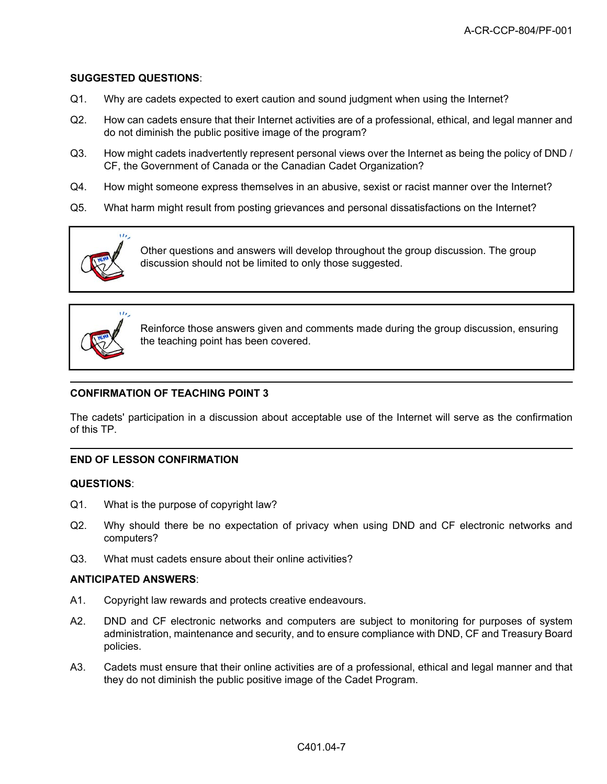#### SUGGESTED QUESTIONS:

- Q1. Why are cadets expected to exert caution and sound judgment when using the Internet?
- Q2. How can cadets ensure that their Internet activities are of a professional, ethical, and legal manner and do not diminish the public positive image of the program?
- Q3. How might cadets inadvertently represent personal views over the Internet as being the policy of DND / CF, the Government of Canada or the Canadian Cadet Organization?
- Q4. How might someone express themselves in an abusive, sexist or racist manner over the Internet?
- Q5. What harm might result from posting grievances and personal dissatisfactions on the Internet?



Other questions and answers will develop throughout the group discussion. The group discussion should not be limited to only those suggested.



Reinforce those answers given and comments made during the group discussion, ensuring the teaching point has been covered.

## CONFIRMATION OF TEACHING POINT 3

The cadets' participation in a discussion about acceptable use of the Internet will serve as the confirmation of this TP.

## END OF LESSON CONFIRMATION

#### QUESTIONS:

- Q1. What is the purpose of copyright law?
- Q2. Why should there be no expectation of privacy when using DND and CF electronic networks and computers?
- Q3. What must cadets ensure about their online activities?

#### ANTICIPATED ANSWERS:

- A1. Copyright law rewards and protects creative endeavours.
- A2. DND and CF electronic networks and computers are subject to monitoring for purposes of system administration, maintenance and security, and to ensure compliance with DND, CF and Treasury Board policies.
- A3. Cadets must ensure that their online activities are of a professional, ethical and legal manner and that they do not diminish the public positive image of the Cadet Program.